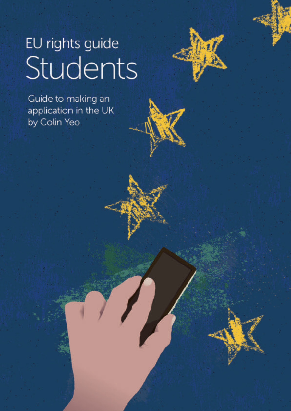# EU rights guide Students

Guide to making an application in the UK by Colin Yeo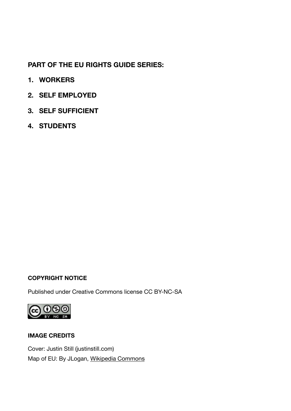#### **PART OF THE EU RIGHTS GUIDE SERIES:**

- **1. WORKERS**
- **2. SELF EMPLOYED**
- **3. SELF SUFFICIENT**
- **4. STUDENTS**

#### **COPYRIGHT NOTICE**

Published under Creative Commons license CC BY-NC-SA



#### **IMAGE CREDITS**

Cover: Justin Still [\(justinstill.com](http://justinstill.com/)) Map of EU: By JLogan, [Wikipedia Commons](http://en.wikipedia.org/wiki/File:Map_of_EU_states_blank.png)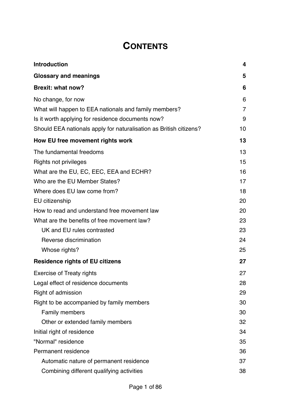# **CONTENTS**

| <b>Introduction</b>                                                | 4              |
|--------------------------------------------------------------------|----------------|
| <b>Glossary and meanings</b>                                       | 5              |
| <b>Brexit: what now?</b>                                           | 6              |
| No change, for now                                                 | 6              |
| What will happen to EEA nationals and family members?              | $\overline{7}$ |
| Is it worth applying for residence documents now?                  | 9              |
| Should EEA nationals apply for naturalisation as British citizens? | 10             |
| How EU free movement rights work                                   | 13             |
| The fundamental freedoms                                           | 13             |
| Rights not privileges                                              | 15             |
| What are the EU, EC, EEC, EEA and ECHR?                            | 16             |
| Who are the EU Member States?                                      | 17             |
| Where does EU law come from?                                       | 18             |
| EU citizenship                                                     | 20             |
| How to read and understand free movement law                       | 20             |
| What are the benefits of free movement law?                        | 23             |
| UK and EU rules contrasted                                         | 23             |
| Reverse discrimination                                             | 24             |
| Whose rights?                                                      | 25             |
| <b>Residence rights of EU citizens</b>                             | 27             |
| <b>Exercise of Treaty rights</b>                                   | 27             |
| Legal effect of residence documents                                | 28             |
| Right of admission                                                 | 29             |
| Right to be accompanied by family members                          | 30             |
| Family members                                                     | 30             |
| Other or extended family members                                   | 32             |
| Initial right of residence                                         | 34             |
| "Normal" residence                                                 | 35             |
| Permanent residence                                                | 36             |
| Automatic nature of permanent residence                            | 37             |
| Combining different qualifying activities                          | 38             |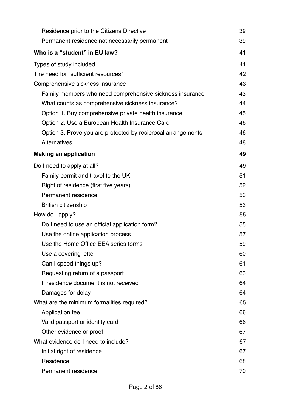| Residence prior to the Citizens Directive                    | 39 |
|--------------------------------------------------------------|----|
| Permanent residence not necessarily permanent                | 39 |
| Who is a "student" in EU law?                                | 41 |
| Types of study included                                      | 41 |
| The need for "sufficient resources"                          | 42 |
| Comprehensive sickness insurance                             | 43 |
| Family members who need comprehensive sickness insurance     | 43 |
| What counts as comprehensive sickness insurance?             | 44 |
| Option 1. Buy comprehensive private health insurance         | 45 |
| Option 2. Use a European Health Insurance Card               | 46 |
| Option 3. Prove you are protected by reciprocal arrangements | 46 |
| Alternatives                                                 | 48 |
| <b>Making an application</b>                                 | 49 |
| Do I need to apply at all?                                   | 49 |
| Family permit and travel to the UK                           | 51 |
| Right of residence (first five years)                        | 52 |
| Permanent residence                                          | 53 |
| <b>British citizenship</b>                                   | 53 |
| How do I apply?                                              | 55 |
| Do I need to use an official application form?               | 55 |
| Use the online application process                           | 57 |
| Use the Home Office EEA series forms                         | 59 |
| Use a covering letter                                        | 60 |
| Can I speed things up?                                       | 61 |
| Requesting return of a passport                              | 63 |
| If residence document is not received                        | 64 |
| Damages for delay                                            | 64 |
| What are the minimum formalities required?                   | 65 |
| Application fee                                              | 66 |
| Valid passport or identity card                              | 66 |
| Other evidence or proof                                      | 67 |
| What evidence do I need to include?                          | 67 |
| Initial right of residence                                   | 67 |
| Residence                                                    | 68 |
| Permanent residence                                          | 70 |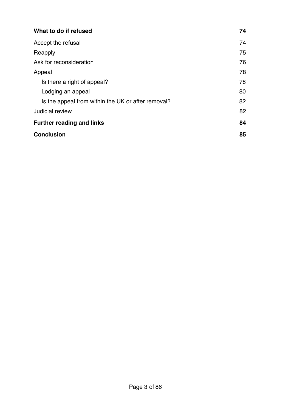| What to do if refused                              | 74 |
|----------------------------------------------------|----|
| Accept the refusal                                 | 74 |
| Reapply                                            | 75 |
| Ask for reconsideration                            | 76 |
| Appeal                                             | 78 |
| Is there a right of appeal?                        | 78 |
| Lodging an appeal                                  | 80 |
| Is the appeal from within the UK or after removal? | 82 |
| Judicial review                                    | 82 |
| <b>Further reading and links</b>                   | 84 |
| <b>Conclusion</b>                                  | 85 |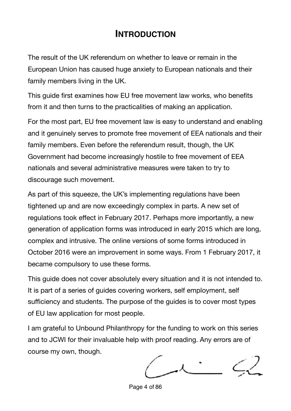## <span id="page-5-0"></span>**INTRODUCTION**

The result of the UK referendum on whether to leave or remain in the European Union has caused huge anxiety to European nationals and their family members living in the UK.

This guide first examines how EU free movement law works, who benefits from it and then turns to the practicalities of making an application.

For the most part, EU free movement law is easy to understand and enabling and it genuinely serves to promote free movement of EEA nationals and their family members. Even before the referendum result, though, the UK Government had become increasingly hostile to free movement of EEA nationals and several administrative measures were taken to try to discourage such movement.

As part of this squeeze, the UK's implementing regulations have been tightened up and are now exceedingly complex in parts. A new set of regulations took effect in February 2017. Perhaps more importantly, a new generation of application forms was introduced in early 2015 which are long, complex and intrusive. The online versions of some forms introduced in October 2016 were an improvement in some ways. From 1 February 2017, it became compulsory to use these forms.

This guide does not cover absolutely every situation and it is not intended to. It is part of a series of guides covering workers, self employment, self sufficiency and students. The purpose of the guides is to cover most types of EU law application for most people.

I am grateful to Unbound Philanthropy for the funding to work on this series and to JCWI for their invaluable help with proof reading. Any errors are of course my own, though.

Page 4 of 86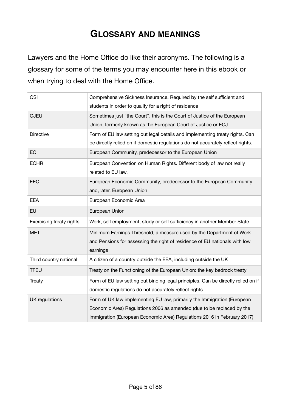## <span id="page-6-0"></span>**GLOSSARY AND MEANINGS**

Lawyers and the Home Office do like their acronyms. The following is a glossary for some of the terms you may encounter here in this ebook or when trying to deal with the Home Office.

| <b>CSI</b>                      | Comprehensive Sickness Insurance. Required by the self sufficient and<br>students in order to qualify for a right of residence                                                                                              |
|---------------------------------|-----------------------------------------------------------------------------------------------------------------------------------------------------------------------------------------------------------------------------|
| <b>CJEU</b>                     | Sometimes just "the Court", this is the Court of Justice of the European<br>Union, formerly known as the European Court of Justice or ECJ                                                                                   |
| <b>Directive</b>                | Form of EU law setting out legal details and implementing treaty rights. Can<br>be directly relied on if domestic regulations do not accurately reflect rights.                                                             |
| EC                              | European Community, predecessor to the European Union                                                                                                                                                                       |
| <b>ECHR</b>                     | European Convention on Human Rights. Different body of law not really<br>related to EU law.                                                                                                                                 |
| EEC                             | European Economic Community, predecessor to the European Community<br>and, later, European Union                                                                                                                            |
| <b>EEA</b>                      | European Economic Area                                                                                                                                                                                                      |
| <b>EU</b>                       | European Union                                                                                                                                                                                                              |
| <b>Exercising treaty rights</b> | Work, self employment, study or self sufficiency in another Member State.                                                                                                                                                   |
| <b>MET</b>                      | Minimum Earnings Threshold, a measure used by the Department of Work<br>and Pensions for assessing the right of residence of EU nationals with low<br>earnings                                                              |
| Third country national          | A citizen of a country outside the EEA, including outside the UK                                                                                                                                                            |
| <b>TFEU</b>                     | Treaty on the Functioning of the European Union: the key bedrock treaty                                                                                                                                                     |
| Treaty                          | Form of EU law setting out binding legal principles. Can be directly relied on if<br>domestic regulations do not accurately reflect rights.                                                                                 |
| UK regulations                  | Form of UK law implementing EU law, primarily the Immigration (European<br>Economic Area) Regulations 2006 as amended (due to be replaced by the<br>Immigration (European Economic Area) Regulations 2016 in February 2017) |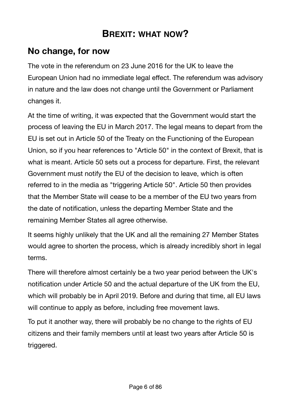# <span id="page-7-0"></span>**BREXIT: WHAT NOW?**

## <span id="page-7-1"></span>**No change, for now**

The vote in the referendum on 23 June 2016 for the UK to leave the European Union had no immediate legal effect. The referendum was advisory in nature and the law does not change until the Government or Parliament changes it.

At the time of writing, it was expected that the Government would start the process of leaving the EU in March 2017. The legal means to depart from the EU is set out in Article 50 of the Treaty on the Functioning of the European Union, so if you hear references to "Article 50" in the context of Brexit, that is what is meant. Article 50 sets out a process for departure. First, the relevant Government must notify the EU of the decision to leave, which is often referred to in the media as "triggering Article 50". Article 50 then provides that the Member State will cease to be a member of the EU two years from the date of notification, unless the departing Member State and the remaining Member States all agree otherwise.

It seems highly unlikely that the UK and all the remaining 27 Member States would agree to shorten the process, which is already incredibly short in legal terms.

There will therefore almost certainly be a two year period between the UK's notification under Article 50 and the actual departure of the UK from the EU, which will probably be in April 2019. Before and during that time, all EU laws will continue to apply as before, including free movement laws.

To put it another way, there will probably be no change to the rights of EU citizens and their family members until at least two years after Article 50 is triggered.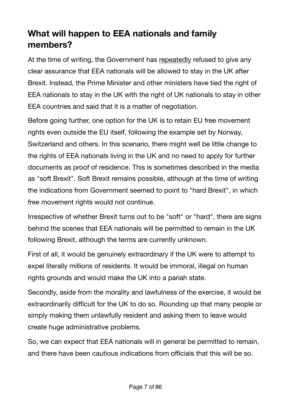# <span id="page-8-0"></span>**What will happen to EEA nationals and family members?**

At the time of writing, the Government has [repeatedly](https://www.freemovement.org.uk/what-was-said-in-parliament-about-the-status-of-eu-nationals-in-the-uk/) refused to give any clear assurance that EEA nationals will be allowed to stay in the UK after Brexit. Instead, the Prime Minister and other ministers have tied the right of EEA nationals to stay in the UK with the right of UK nationals to stay in other EEA countries and said that it is a matter of negotiation.

Before going further, one option for the UK is to retain EU free movement rights even outside the EU itself, following the example set by Norway, Switzerland and others. In this scenario, there might well be little change to the rights of EEA nationals living in the UK and no need to apply for further documents as proof of residence. This is sometimes described in the media as "soft Brexit". Soft Brexit remains possible, although at the time of writing the indications from Government seemed to point to "hard Brexit", in which free movement rights would not continue.

Irrespective of whether Brexit turns out to be "soft" or "hard", there are signs behind the scenes that EEA nationals will be permitted to remain in the UK following Brexit, although the terms are currently unknown.

First of all, it would be genuinely extraordinary if the UK were to attempt to expel literally millions of residents. It would be immoral, illegal on human rights grounds and would make the UK into a pariah state.

Secondly, aside from the morality and lawfulness of the exercise, it would be extraordinarily difficult for the UK to do so. Rounding up that many people or simply making them unlawfully resident and asking them to leave would create huge administrative problems.

So, we can expect that EEA nationals will in general be permitted to remain, and there have been cautious indications from officials that this will be so.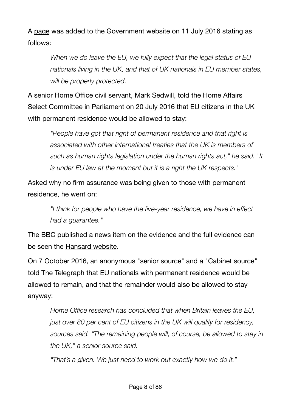A [page](https://www.gov.uk/government/news/statement-the-status-of-eu-nationals-in-the-uk) was added to the Government website on 11 July 2016 stating as follows:

*When we do leave the EU, we fully expect that the legal status of EU nationals living in the UK, and that of UK nationals in EU member states, will be properly protected.*

A senior Home Office civil servant, Mark Sedwill, told the Home Affairs Select Committee in Parliament on 20 July 2016 that EU citizens in the UK with permanent residence would be allowed to stay:

*"People have got that right of permanent residence and that right is associated with other international treaties that the UK is members of such as human rights legislation under the human rights act," he said. "It is under EU law at the moment but it is a right the UK respects."*

Asked why no firm assurance was being given to those with permanent residence, he went on:

> *"I think for people who have the five-year residence, we have in effect had a guarantee."*

The BBC published a [news item](http://www.bbc.co.uk/news/uk-politics-36849071) on the evidence and the full evidence can be seen the [Hansard website](http://www.parliament.uk/business/committees/committees-a-z/commons-select/home-affairs-committee/news-parliament-2015/160718-brexit-evidence/).

On 7 October 2016, an anonymous "senior source" and a "Cabinet source" told [The Telegraph](http://www.telegraph.co.uk/news/2016/10/07/every-eu-migrant-can-stay-after-brexit-600000-will-be-given-amne/) that EU nationals with permanent residence would be allowed to remain, and that the remainder would also be allowed to stay anyway:

*Home Office research has concluded that when Britain leaves the EU, just over 80 per cent of EU citizens in the UK will qualify for residency, sources said. "The remaining people will, of course, be allowed to stay in the UK," a senior source said.* 

*"That's a given. We just need to work out exactly how we do it."*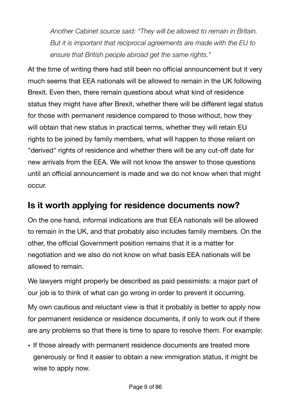*Another Cabinet source said: "They will be allowed to remain in Britain. But it is important that reciprocal agreements are made with the EU to ensure that British people abroad get the same rights."*

At the time of writing there had still been no official announcement but it very much seems that EEA nationals will be allowed to remain in the UK following Brexit. Even then, there remain questions about what kind of residence status they might have after Brexit, whether there will be different legal status for those with permanent residence compared to those without, how they will obtain that new status in practical terms, whether they will retain EU rights to be joined by family members, what will happen to those reliant on "derived" rights of residence and whether there will be any cut-off date for new arrivals from the EEA. We will not know the answer to those questions until an official announcement is made and we do not know when that might occur.

## <span id="page-10-0"></span>**Is it worth applying for residence documents now?**

On the one hand, informal indications are that EEA nationals will be allowed to remain in the UK, and that probably also includes family members. On the other, the official Government position remains that it is a matter for negotiation and we also do not know on what basis EEA nationals will be allowed to remain.

We lawyers might properly be described as paid pessimists: a major part of our job is to think of what can go wrong in order to prevent it occurring.

My own cautious and reluctant view is that it probably is better to apply now for permanent residence or residence documents, if only to work out if there are any problems so that there is time to spare to resolve them. For example:

• If those already with permanent residence documents are treated more generously or find it easier to obtain a new immigration status, it might be wise to apply now.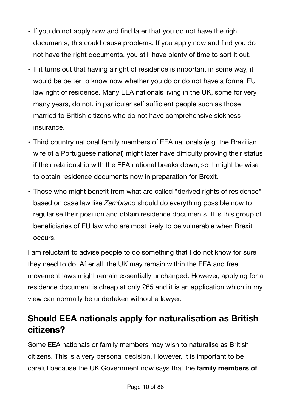- If you do not apply now and find later that you do not have the right documents, this could cause problems. If you apply now and find you do not have the right documents, you still have plenty of time to sort it out.
- If it turns out that having a right of residence is important in some way, it would be better to know now whether you do or do not have a formal EU law right of residence. Many EEA nationals living in the UK, some for very many years, do not, in particular self sufficient people such as those married to British citizens who do not have comprehensive sickness insurance.
- Third country national family members of EEA nationals (e.g. the Brazilian wife of a Portuguese national) might later have difficulty proving their status if their relationship with the EEA national breaks down, so it might be wise to obtain residence documents now in preparation for Brexit.
- Those who might benefit from what are called "derived rights of residence" based on case law like *Zambrano* should do everything possible now to regularise their position and obtain residence documents. It is this group of beneficiaries of EU law who are most likely to be vulnerable when Brexit occurs.

I am reluctant to advise people to do something that I do not know for sure they need to do. After all, the UK may remain within the EEA and free movement laws might remain essentially unchanged. However, applying for a residence document is cheap at only £65 and it is an application which in my view can normally be undertaken without a lawyer.

# <span id="page-11-0"></span>**Should EEA nationals apply for naturalisation as British citizens?**

Some EEA nationals or family members may wish to naturalise as British citizens. This is a very personal decision. However, it is important to be careful because the UK Government now says that the **family members of**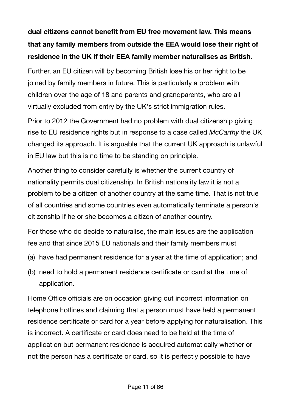# **dual citizens cannot benefit from EU free movement law. This means that any family members from outside the EEA would lose their right of residence in the UK if their EEA family member naturalises as British.**

Further, an EU citizen will by becoming British lose his or her right to be joined by family members in future. This is particularly a problem with children over the age of 18 and parents and grandparents, who are all virtually excluded from entry by the UK's strict immigration rules.

Prior to 2012 the Government had no problem with dual citizenship giving rise to EU residence rights but in response to a case called *McCarthy* the UK changed its approach. It is arguable that the current UK approach is unlawful in EU law but this is no time to be standing on principle.

Another thing to consider carefully is whether the current country of nationality permits dual citizenship. In British nationality law it is not a problem to be a citizen of another country at the same time. That is not true of all countries and some countries even automatically terminate a person's citizenship if he or she becomes a citizen of another country.

For those who do decide to naturalise, the main issues are the application fee and that since 2015 EU nationals and their family members must

- (a) have had permanent residence for a year at the time of application; and
- (b) need to hold a permanent residence certificate or card at the time of application.

Home Office officials are on occasion giving out incorrect information on telephone hotlines and claiming that a person must have held a permanent residence certificate or card for a year before applying for naturalisation. This is incorrect. A certificate or card does need to be held at the time of application but permanent residence is acquired automatically whether or not the person has a certificate or card, so it is perfectly possible to have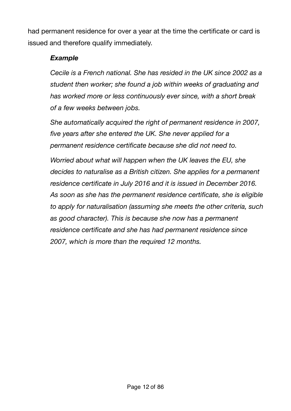had permanent residence for over a year at the time the certificate or card is issued and therefore qualify immediately.

#### *Example*

*Cecile is a French national. She has resided in the UK since 2002 as a student then worker; she found a job within weeks of graduating and has worked more or less continuously ever since, with a short break of a few weeks between jobs.* 

*She automatically acquired the right of permanent residence in 2007, five years after she entered the UK. She never applied for a permanent residence certificate because she did not need to.* 

*Worried about what will happen when the UK leaves the EU, she decides to naturalise as a British citizen. She applies for a permanent residence certificate in July 2016 and it is issued in December 2016. As soon as she has the permanent residence certificate, she is eligible to apply for naturalisation (assuming she meets the other criteria, such as good character). This is because she now has a permanent residence certificate and she has had permanent residence since 2007, which is more than the required 12 months.*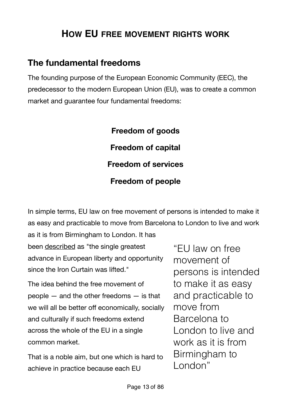# <span id="page-14-0"></span>**HOW EU FREE MOVEMENT RIGHTS WORK**

## <span id="page-14-1"></span>**The fundamental freedoms**

The founding purpose of the European Economic Community (EEC), the predecessor to the modern European Union (EU), was to create a common market and guarantee four fundamental freedoms:

> **Freedom of goods Freedom of capital Freedom of services Freedom of people**

In simple terms, EU law on free movement of persons is intended to make it as easy and practicable to move from Barcelona to London to live and work

as it is from Birmingham to London. It has been [described](http://blogs.spectator.co.uk/coffeehouse/2014/07/britain-has-very-little-to-fear-from-the-echr-so-why-are-so-many-tories-so-afraid-of-it/) as "the single greatest advance in European liberty and opportunity since the Iron Curtain was lifted."

The idea behind the free movement of people — and the other freedoms — is that we will all be better off economically, socially and culturally if such freedoms extend across the whole of the EU in a single common market.

That is a noble aim, but one which is hard to achieve in practice because each EU

"EU law on free movement of persons is intended to make it as easy and practicable to move from Barcelona to London to live and work as it is from Birmingham to London"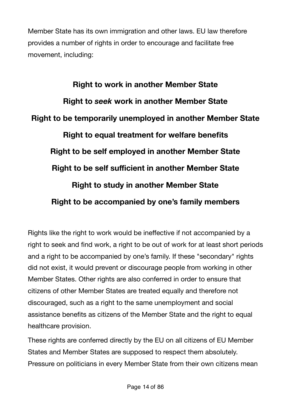Member State has its own immigration and other laws. EU law therefore provides a number of rights in order to encourage and facilitate free movement, including:

**Right to work in another Member State Right to** *seek* **work in another Member State Right to be temporarily unemployed in another Member State Right to equal treatment for welfare benefits Right to be self employed in another Member State Right to be self sufficient in another Member State Right to study in another Member State Right to be accompanied by one's family members** 

Rights like the right to work would be ineffective if not accompanied by a right to seek and find work, a right to be out of work for at least short periods and a right to be accompanied by one's family. If these "secondary" rights did not exist, it would prevent or discourage people from working in other Member States. Other rights are also conferred in order to ensure that citizens of other Member States are treated equally and therefore not discouraged, such as a right to the same unemployment and social assistance benefits as citizens of the Member State and the right to equal healthcare provision.

These rights are conferred directly by the EU on all citizens of EU Member States and Member States are supposed to respect them absolutely. Pressure on politicians in every Member State from their own citizens mean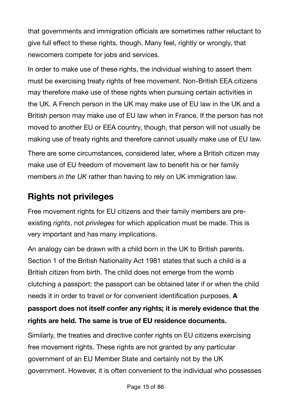that governments and immigration officials are sometimes rather reluctant to give full effect to these rights, though. Many feel, rightly or wrongly, that newcomers compete for jobs and services.

In order to make use of these rights, the individual wishing to assert them must be exercising treaty rights of free movement. Non-British EEA citizens may therefore make use of these rights when pursuing certain activities in the UK. A French person in the UK may make use of EU law in the UK and a British person may make use of EU law when in France. If the person has not moved to another EU or EEA country, though, that person will not usually be making use of treaty rights and therefore cannot usually make use of EU law. There are some circumstances, considered later, where a British citizen may make use of EU freedom of movement law to benefit his or her family members *in the UK* rather than having to rely on UK immigration law.

# <span id="page-16-0"></span>**Rights not privileges**

Free movement rights for EU citizens and their family members are preexisting *rights*, not *privileges* for which application must be made. This is very important and has many implications.

An analogy can be drawn with a child born in the UK to British parents. Section 1 of the British Nationality Act 1981 states that such a child is a British citizen from birth. The child does not emerge from the womb clutching a passport: the passport can be obtained later if or when the child needs it in order to travel or for convenient identification purposes. **A** 

## **passport does not itself confer any rights; it is merely evidence that the rights are held. The same is true of EU residence documents.**

Similarly, the treaties and directive confer rights on EU citizens exercising free movement rights. These rights are not granted by any particular government of an EU Member State and certainly not by the UK government. However, it is often convenient to the individual who possesses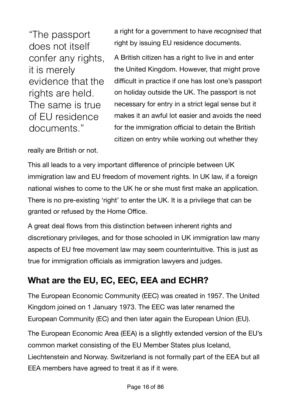"The passport does not itself confer any rights, it is merely evidence that the rights are held. The same is true of EU residence documents."

really are British or not.

a right for a government to have *recognised* that right by issuing EU residence documents.

A British citizen has a right to live in and enter the United Kingdom. However, that might prove difficult in practice if one has lost one's passport on holiday outside the UK. The passport is not necessary for entry in a strict legal sense but it makes it an awful lot easier and avoids the need for the immigration official to detain the British citizen on entry while working out whether they

This all leads to a very important difference of principle between UK immigration law and EU freedom of movement rights. In UK law, if a foreign national wishes to come to the UK he or she must first make an application. There is no pre-existing 'right' to enter the UK. It is a privilege that can be granted or refused by the Home Office.

A great deal flows from this distinction between inherent rights and discretionary privileges, and for those schooled in UK immigration law many aspects of EU free movement law may seem counterintuitive. This is just as true for immigration officials as immigration lawyers and judges.

# <span id="page-17-0"></span>**What are the EU, EC, EEC, EEA and ECHR?**

The European Economic Community (EEC) was created in 1957. The United Kingdom joined on 1 January 1973. The EEC was later renamed the European Community (EC) and then later again the European Union (EU).

The European Economic Area (EEA) is a slightly extended version of the EU's common market consisting of the EU Member States plus Iceland, Liechtenstein and Norway. Switzerland is not formally part of the EEA but all EEA members have agreed to treat it as if it were.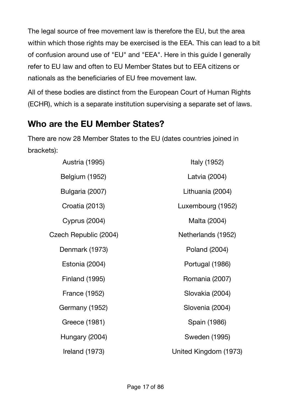The legal source of free movement law is therefore the EU, but the area within which those rights may be exercised is the EEA. This can lead to a bit of confusion around use of "EU" and "EEA". Here in this guide I generally refer to EU law and often to EU Member States but to EEA citizens or nationals as the beneficiaries of EU free movement law.

All of these bodies are distinct from the European Court of Human Rights (ECHR), which is a separate institution supervising a separate set of laws.

## <span id="page-18-0"></span>**Who are the EU Member States?**

There are now 28 Member States to the EU (dates countries joined in brackets):

| <b>Austria (1995)</b> | Italy (1952)          |
|-----------------------|-----------------------|
| <b>Belgium (1952)</b> | Latvia (2004)         |
| Bulgaria (2007)       | Lithuania (2004)      |
| Croatia (2013)        | Luxembourg (1952)     |
| <b>Cyprus (2004)</b>  | Malta (2004)          |
| Czech Republic (2004) | Netherlands (1952)    |
| Denmark (1973)        | Poland (2004)         |
| Estonia (2004)        | Portugal (1986)       |
| <b>Finland (1995)</b> | Romania (2007)        |
| <b>France (1952)</b>  | Slovakia (2004)       |
| Germany (1952)        | Slovenia (2004)       |
| Greece (1981)         | Spain (1986)          |
| Hungary (2004)        | <b>Sweden (1995)</b>  |
| Ireland (1973)        | United Kingdom (1973) |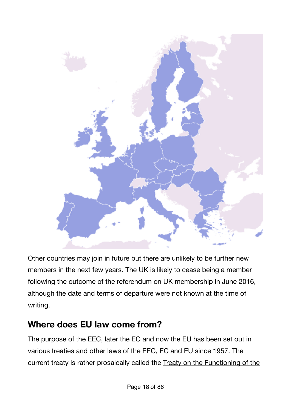

Other countries may join in future but there are unlikely to be further new members in the next few years. The UK is likely to cease being a member following the outcome of the referendum on UK membership in June 2016, although the date and terms of departure were not known at the time of writing.

# <span id="page-19-0"></span>**Where does EU law come from?**

The purpose of the EEC, later the EC and now the EU has been set out in various treaties and other laws of the EEC, EC and EU since 1957. The current treaty is rather prosaically called the [Treaty on the Functioning of the](http://eur-lex.europa.eu/legal-content/EN/TXT/?uri=celex:12012E/TXT)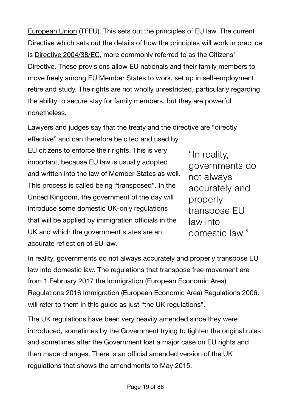[European Union](http://eur-lex.europa.eu/legal-content/EN/TXT/?uri=celex:12012E/TXT) (TFEU). This sets out the principles of EU law. The current Directive which sets out the details of how the principles will work in practice is [Directive 2004/38/EC](http://eur-lex.europa.eu/LexUriServ/LexUriServ.do?uri=OJ:L:2004:158:0077:0123:en:PDF), more commonly referred to as the Citizens' Directive. These provisions allow EU nationals and their family members to move freely among EU Member States to work, set up in self-employment, retire and study. The rights are not wholly unrestricted, particularly regarding the ability to secure stay for family members, but they are powerful nonetheless.

Lawyers and judges say that the treaty and the directive are "directly

effective" and can therefore be cited and used by EU citizens to enforce their rights. This is very important, because EU law is usually adopted and written into the law of Member States as well. This process is called being "transposed". In the United Kingdom, the government of the day will introduce some domestic UK-only regulations that will be applied by immigration officials in the UK and which the government states are an accurate reflection of EU law.

"In reality, governments do not always accurately and properly transpose EU law into domestic law."

In reality, governments do not always accurately and properly transpose EU law into domestic law. The regulations that transpose free movement are from 1 February 2017 the Immigration (European Economic Area) Regulations 2016 Immigration (European Economic Area) Regulations 2006. I will refer to them in this guide as just "the UK regulations".

The UK regulations have been very heavily amended since they were introduced, sometimes by the Government trying to tighten the original rules and sometimes after the Government lost a major case on EU rights and then made changes. There is an offi[cial amended version](http://www.legislation.gov.uk/uksi/2006/1003) of the UK regulations that shows the amendments to May 2015.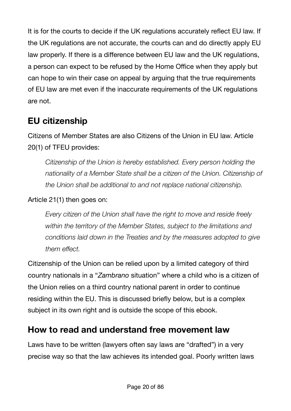It is for the courts to decide if the UK regulations accurately reflect EU law. If the UK regulations are not accurate, the courts can and do directly apply EU law properly. If there is a difference between EU law and the UK regulations, a person can expect to be refused by the Home Office when they apply but can hope to win their case on appeal by arguing that the true requirements of EU law are met even if the inaccurate requirements of the UK regulations are not.

# <span id="page-21-0"></span>**EU citizenship**

Citizens of Member States are also Citizens of the Union in EU law. Article 20(1) of TFEU provides:

*Citizenship of the Union is hereby established. Every person holding the nationality of a Member State shall be a citizen of the Union. Citizenship of the Union shall be additional to and not replace national citizenship.*

### Article 21(1) then goes on:

*Every citizen of the Union shall have the right to move and reside freely within the territory of the Member States, subject to the limitations and conditions laid down in the Treaties and by the measures adopted to give them effect.*

Citizenship of the Union can be relied upon by a limited category of third country nationals in a "*Zambrano* situation" where a child who is a citizen of the Union relies on a third country national parent in order to continue residing within the EU. This is discussed briefly below, but is a complex subject in its own right and is outside the scope of this ebook.

## <span id="page-21-1"></span>**How to read and understand free movement law**

Laws have to be written (lawyers often say laws are "drafted") in a very precise way so that the law achieves its intended goal. Poorly written laws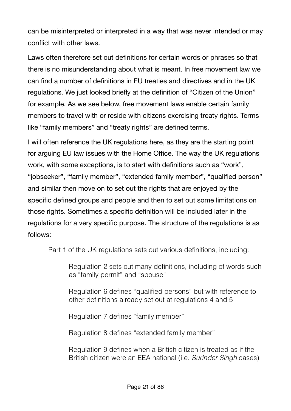can be misinterpreted or interpreted in a way that was never intended or may conflict with other laws.

Laws often therefore set out definitions for certain words or phrases so that there is no misunderstanding about what is meant. In free movement law we can find a number of definitions in EU treaties and directives and in the UK regulations. We just looked briefly at the definition of "Citizen of the Union" for example. As we see below, free movement laws enable certain family members to travel with or reside with citizens exercising treaty rights. Terms like "family members" and "treaty rights" are defined terms.

I will often reference the UK regulations here, as they are the starting point for arguing EU law issues with the Home Office. The way the UK regulations work, with some exceptions, is to start with definitions such as "work", "jobseeker", "family member", "extended family member", "qualified person" and similar then move on to set out the rights that are enjoyed by the specific defined groups and people and then to set out some limitations on those rights. Sometimes a specific definition will be included later in the regulations for a very specific purpose. The structure of the regulations is as follows:

Part 1 of the UK regulations sets out various definitions, including:

Regulation 2 sets out many definitions, including of words such as "family permit" and "spouse"

Regulation 6 defines "qualified persons" but with reference to other definitions already set out at regulations 4 and 5

Regulation 7 defines "family member"

Regulation 8 defines "extended family member"

Regulation 9 defines when a British citizen is treated as if the British citizen were an EEA national (i.e. *Surinder Singh* cases)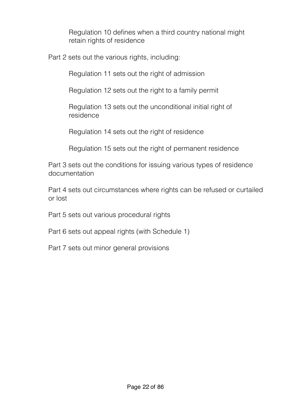Regulation 10 defines when a third country national might retain rights of residence

Part 2 sets out the various rights, including:

Regulation 11 sets out the right of admission

Regulation 12 sets out the right to a family permit

Regulation 13 sets out the unconditional initial right of residence

Regulation 14 sets out the right of residence

Regulation 15 sets out the right of permanent residence

Part 3 sets out the conditions for issuing various types of residence documentation

Part 4 sets out circumstances where rights can be refused or curtailed or lost

Part 5 sets out various procedural rights

Part 6 sets out appeal rights (with Schedule 1)

Part 7 sets out minor general provisions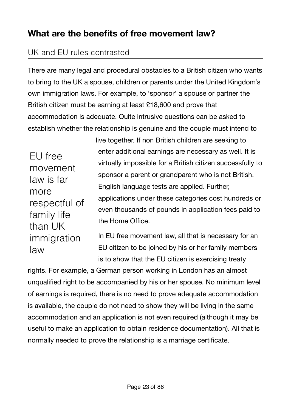## <span id="page-24-0"></span>**What are the benefits of free movement law?**

## <span id="page-24-1"></span>UK and EU rules contrasted

There are many legal and procedural obstacles to a British citizen who wants to bring to the UK a spouse, children or parents under the United Kingdom's own immigration laws. For example, to 'sponsor' a spouse or partner the British citizen must be earning at least £18,600 and prove that accommodation is adequate. Quite intrusive questions can be asked to establish whether the relationship is genuine and the couple must intend to

EU free movement law is far more respectful of family life than UK immigration law

live together. If non British children are seeking to enter additional earnings are necessary as well. It is virtually impossible for a British citizen successfully to sponsor a parent or grandparent who is not British. English language tests are applied. Further, applications under these categories cost hundreds or even thousands of pounds in application fees paid to the Home Office.

In EU free movement law, all that is necessary for an EU citizen to be joined by his or her family members is to show that the EU citizen is exercising treaty

rights. For example, a German person working in London has an almost unqualified right to be accompanied by his or her spouse. No minimum level of earnings is required, there is no need to prove adequate accommodation is available, the couple do not need to show they will be living in the same accommodation and an application is not even required (although it may be useful to make an application to obtain residence documentation). All that is normally needed to prove the relationship is a marriage certificate.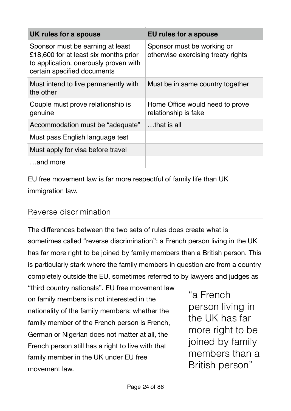| UK rules for a spouse                                                                                                                             | EU rules for a spouse                                            |
|---------------------------------------------------------------------------------------------------------------------------------------------------|------------------------------------------------------------------|
| Sponsor must be earning at least<br>£18,600 for at least six months prior<br>to application, onerously proven with<br>certain specified documents | Sponsor must be working or<br>otherwise exercising treaty rights |
| Must intend to live permanently with<br>the other                                                                                                 | Must be in same country together                                 |
| Couple must prove relationship is<br>genuine                                                                                                      | Home Office would need to prove<br>relationship is fake          |
| Accommodation must be "adequate"                                                                                                                  | that is all                                                      |
| Must pass English language test                                                                                                                   |                                                                  |
| Must apply for visa before travel                                                                                                                 |                                                                  |
| and more                                                                                                                                          |                                                                  |

EU free movement law is far more respectful of family life than UK immigration law.

### <span id="page-25-0"></span>Reverse discrimination

The differences between the two sets of rules does create what is sometimes called "reverse discrimination": a French person living in the UK has far more right to be joined by family members than a British person. This is particularly stark where the family members in question are from a country completely outside the EU, sometimes referred to by lawyers and judges as

"third country nationals". EU free movement law on family members is not interested in the nationality of the family members: whether the family member of the French person is French, German or Nigerian does not matter at all, the French person still has a right to live with that family member in the UK under EU free movement law.

"a French person living in the UK has far more right to be joined by family members than a British person"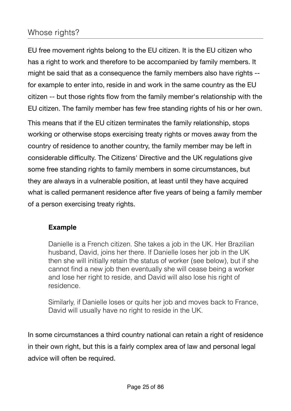## <span id="page-26-0"></span>Whose rights?

EU free movement rights belong to the EU citizen. It is the EU citizen who has a right to work and therefore to be accompanied by family members. It might be said that as a consequence the family members also have rights - for example to enter into, reside in and work in the same country as the EU citizen -- but those rights flow from the family member's relationship with the EU citizen. The family member has few free standing rights of his or her own.

This means that if the EU citizen terminates the family relationship, stops working or otherwise stops exercising treaty rights or moves away from the country of residence to another country, the family member may be left in considerable difficulty. The Citizens' Directive and the UK regulations give some free standing rights to family members in some circumstances, but they are always in a vulnerable position, at least until they have acquired what is called permanent residence after five years of being a family member of a person exercising treaty rights.

#### **Example**

Danielle is a French citizen. She takes a job in the UK. Her Brazilian husband, David, joins her there. If Danielle loses her job in the UK then she will initially retain the status of worker (see below), but if she cannot find a new job then eventually she will cease being a worker and lose her right to reside, and David will also lose his right of residence.

Similarly, if Danielle loses or quits her job and moves back to France, David will usually have no right to reside in the UK.

In some circumstances a third country national can retain a right of residence in their own right, but this is a fairly complex area of law and personal legal advice will often be required.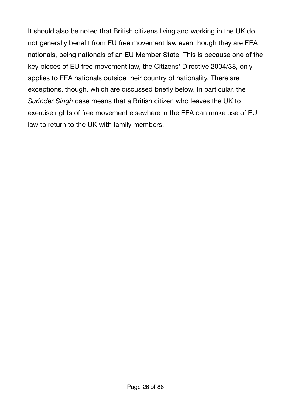It should also be noted that British citizens living and working in the UK do not generally benefit from EU free movement law even though they are EEA nationals, being nationals of an EU Member State. This is because one of the key pieces of EU free movement law, the Citizens' Directive 2004/38, only applies to EEA nationals outside their country of nationality. There are exceptions, though, which are discussed briefly below. In particular, the *Surinder Singh* case means that a British citizen who leaves the UK to exercise rights of free movement elsewhere in the EEA can make use of EU law to return to the UK with family members.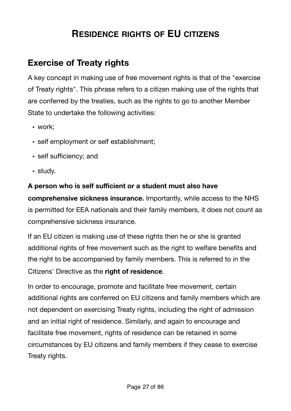# <span id="page-28-0"></span>**RESIDENCE RIGHTS OF EU CITIZENS**

# <span id="page-28-1"></span>**Exercise of Treaty rights**

A key concept in making use of free movement rights is that of the "exercise of Treaty rights". This phrase refers to a citizen making use of the rights that are conferred by the treaties, such as the rights to go to another Member State to undertake the following activities:

- work;
- self employment or self establishment;
- self sufficiency; and
- study.

#### **A person who is self sufficient or a student must also have**

**comprehensive sickness insurance.** Importantly, while access to the NHS is permitted for EEA nationals and their family members, it does not count as comprehensive sickness insurance.

If an EU citizen is making use of these rights then he or she is granted additional rights of free movement such as the right to welfare benefits and the right to be accompanied by family members. This is referred to in the Citizens' Directive as the **right of residence**.

In order to encourage, promote and facilitate free movement, certain additional rights are conferred on EU citizens and family members which are not dependent on exercising Treaty rights, including the right of admission and an initial right of residence. Similarly, and again to encourage and facilitate free movement, rights of residence can be retained in some circumstances by EU citizens and family members if they cease to exercise Treaty rights.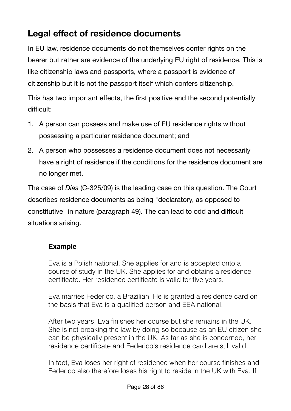# <span id="page-29-0"></span>**Legal effect of residence documents**

In EU law, residence documents do not themselves confer rights on the bearer but rather are evidence of the underlying EU right of residence. This is like citizenship laws and passports, where a passport is evidence of citizenship but it is not the passport itself which confers citizenship.

This has two important effects, the first positive and the second potentially difficult:

- 1. A person can possess and make use of EU residence rights without possessing a particular residence document; and
- 2. A person who possesses a residence document does not necessarily have a right of residence if the conditions for the residence document are no longer met.

The case of *Dias* [\(C-325/09](http://eur-lex.europa.eu/LexUriServ/LexUriServ.do?uri=CELEX:62009CJ0325:EN:HTML)) is the leading case on this question. The Court describes residence documents as being "declaratory, as opposed to constitutive" in nature (paragraph 49). The can lead to odd and difficult situations arising.

#### **Example**

Eva is a Polish national. She applies for and is accepted onto a course of study in the UK. She applies for and obtains a residence certificate. Her residence certificate is valid for five years.

Eva marries Federico, a Brazilian. He is granted a residence card on the basis that Eva is a qualified person and EEA national.

After two years, Eva finishes her course but she remains in the UK. She is not breaking the law by doing so because as an EU citizen she can be physically present in the UK. As far as she is concerned, her residence certificate and Federico's residence card are still valid.

In fact, Eva loses her right of residence when her course finishes and Federico also therefore loses his right to reside in the UK with Eva. If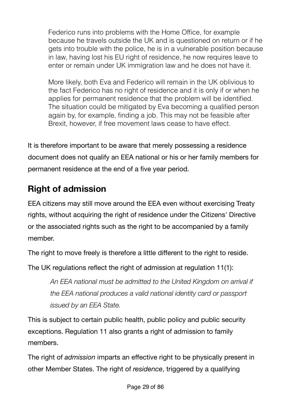Federico runs into problems with the Home Office, for example because he travels outside the UK and is questioned on return or if he gets into trouble with the police, he is in a vulnerable position because in law, having lost his EU right of residence, he now requires leave to enter or remain under UK immigration law and he does not have it.

More likely, both Eva and Federico will remain in the UK oblivious to the fact Federico has no right of residence and it is only if or when he applies for permanent residence that the problem will be identified. The situation could be mitigated by Eva becoming a qualified person again by, for example, finding a job. This may not be feasible after Brexit, however, if free movement laws cease to have effect.

It is therefore important to be aware that merely possessing a residence document does not qualify an EEA national or his or her family members for permanent residence at the end of a five year period.

# <span id="page-30-0"></span>**Right of admission**

EEA citizens may still move around the EEA even without exercising Treaty rights, without acquiring the right of residence under the Citizens' Directive or the associated rights such as the right to be accompanied by a family member.

The right to move freely is therefore a little different to the right to reside.

The UK regulations reflect the right of admission at regulation 11(1):

*An EEA national must be admitted to the United Kingdom on arrival if the EEA national produces a valid national identity card or passport issued by an EEA State.*

This is subject to certain public health, public policy and public security exceptions. Regulation 11 also grants a right of admission to family members.

The right of *admission* imparts an effective right to be physically present in other Member States. The right of *residence*, triggered by a qualifying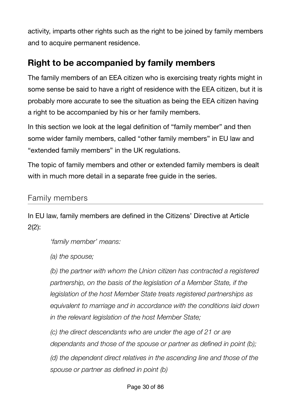activity, imparts other rights such as the right to be joined by family members and to acquire permanent residence.

# <span id="page-31-0"></span>**Right to be accompanied by family members**

The family members of an EEA citizen who is exercising treaty rights might in some sense be said to have a right of residence with the EEA citizen, but it is probably more accurate to see the situation as being the EEA citizen having a right to be accompanied by his or her family members.

In this section we look at the legal definition of "family member" and then some wider family members, called "other family members" in EU law and "extended family members" in the UK regulations.

The topic of family members and other or extended family members is dealt with in much more detail in a separate free guide in the series.

### <span id="page-31-1"></span>Family members

In EU law, family members are defined in the Citizens' Directive at Article 2(2):

*'family member' means:* 

*(a) the spouse;* 

*(b) the partner with whom the Union citizen has contracted a registered partnership, on the basis of the legislation of a Member State, if the legislation of the host Member State treats registered partnerships as equivalent to marriage and in accordance with the conditions laid down in the relevant legislation of the host Member State;* 

*(c) the direct descendants who are under the age of 21 or are dependants and those of the spouse or partner as defined in point (b);* 

*(d) the dependent direct relatives in the ascending line and those of the spouse or partner as defined in point (b)*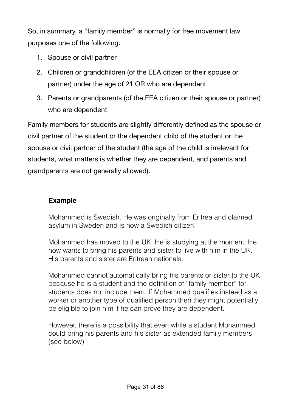So, in summary, a "family member" is normally for free movement law purposes one of the following:

- 1. Spouse or civil partner
- 2. Children or grandchildren (of the EEA citizen or their spouse or partner) under the age of 21 OR who are dependent
- 3. Parents or grandparents (of the EEA citizen or their spouse or partner) who are dependent

Family members for students are slightly differently defined as the spouse or civil partner of the student or the dependent child of the student or the spouse or civil partner of the student (the age of the child is irrelevant for students, what matters is whether they are dependent, and parents and grandparents are not generally allowed).

#### **Example**

Mohammed is Swedish. He was originally from Eritrea and claimed asylum in Sweden and is now a Swedish citizen.

Mohammed has moved to the UK. He is studying at the moment. He now wants to bring his parents and sister to live with him in the UK. His parents and sister are Eritrean nationals.

Mohammed cannot automatically bring his parents or sister to the UK because he is a student and the definition of "family member" for students does not include them. If Mohammed qualifies instead as a worker or another type of qualified person then they might potentially be eligible to join him if he can prove they are dependent.

However, there is a possibility that even while a student Mohammed could bring his parents and his sister as extended family members (see below).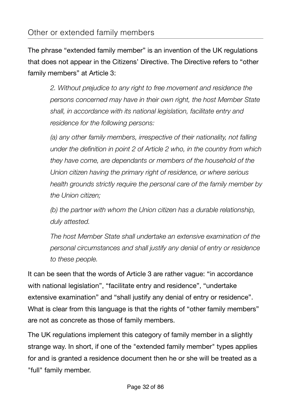<span id="page-33-0"></span>The phrase "extended family member" is an invention of the UK regulations that does not appear in the Citizens' Directive. The Directive refers to "other family members" at Article 3:

*2. Without prejudice to any right to free movement and residence the persons concerned may have in their own right, the host Member State shall, in accordance with its national legislation, facilitate entry and residence for the following persons:* 

*(a) any other family members, irrespective of their nationality, not falling under the definition in point 2 of Article 2 who, in the country from which they have come, are dependants or members of the household of the Union citizen having the primary right of residence, or where serious health grounds strictly require the personal care of the family member by the Union citizen;* 

*(b) the partner with whom the Union citizen has a durable relationship, duly attested.* 

*The host Member State shall undertake an extensive examination of the personal circumstances and shall justify any denial of entry or residence to these people.*

It can be seen that the words of Article 3 are rather vague: "in accordance with national legislation", "facilitate entry and residence", "undertake extensive examination" and "shall justify any denial of entry or residence". What is clear from this language is that the rights of "other family members" are not as concrete as those of family members.

The UK regulations implement this category of family member in a slightly strange way. In short, if one of the "extended family member" types applies for and is granted a residence document then he or she will be treated as a "full" family member.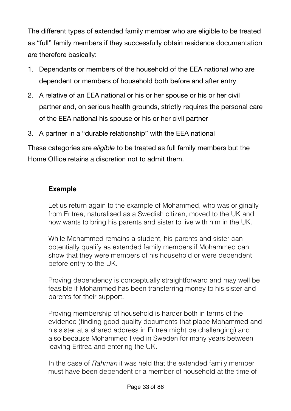The different types of extended family member who are eligible to be treated as "full" family members if they successfully obtain residence documentation are therefore basically:

- 1. Dependants or members of the household of the EEA national who are dependent or members of household both before and after entry
- 2. A relative of an EEA national or his or her spouse or his or her civil partner and, on serious health grounds, strictly requires the personal care of the EEA national his spouse or his or her civil partner
- 3. A partner in a "durable relationship" with the EEA national

These categories are *eligible* to be treated as full family members but the Home Office retains a discretion not to admit them.

#### **Example**

Let us return again to the example of Mohammed, who was originally from Eritrea, naturalised as a Swedish citizen, moved to the UK and now wants to bring his parents and sister to live with him in the UK.

While Mohammed remains a student, his parents and sister can potentially qualify as extended family members if Mohammed can show that they were members of his household or were dependent before entry to the UK.

Proving dependency is conceptually straightforward and may well be feasible if Mohammed has been transferring money to his sister and parents for their support.

Proving membership of household is harder both in terms of the evidence (finding good quality documents that place Mohammed and his sister at a shared address in Eritrea might be challenging) and also because Mohammed lived in Sweden for many years between leaving Eritrea and entering the UK.

In the case of *Rahman* it was held that the extended family member must have been dependent or a member of household at the time of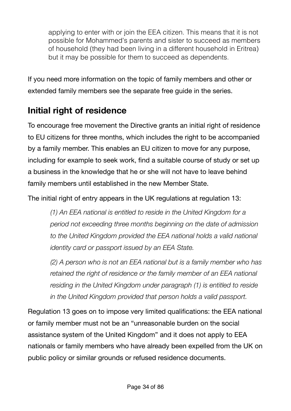applying to enter with or join the EEA citizen. This means that it is not possible for Mohammed's parents and sister to succeed as members of household (they had been living in a different household in Eritrea) but it may be possible for them to succeed as dependents.

If you need more information on the topic of family members and other or extended family members see the separate free guide in the series.

## <span id="page-35-0"></span>**Initial right of residence**

To encourage free movement the Directive grants an initial right of residence to EU citizens for three months, which includes the right to be accompanied by a family member. This enables an EU citizen to move for any purpose, including for example to seek work, find a suitable course of study or set up a business in the knowledge that he or she will not have to leave behind family members until established in the new Member State.

The initial right of entry appears in the UK regulations at regulation 13:

*(1) An EEA national is entitled to reside in the United Kingdom for a period not exceeding three months beginning on the date of admission to the United Kingdom provided the EEA national holds a valid national identity card or passport issued by an EEA State.* 

*(2) A person who is not an EEA national but is a family member who has retained the right of residence or the family member of an EEA national residing in the United Kingdom under paragraph (1) is entitled to reside in the United Kingdom provided that person holds a valid passport.* 

Regulation 13 goes on to impose very limited qualifications: the EEA national or family member must not be an "unreasonable burden on the social assistance system of the United Kingdom" and it does not apply to EEA nationals or family members who have already been expelled from the UK on public policy or similar grounds or refused residence documents.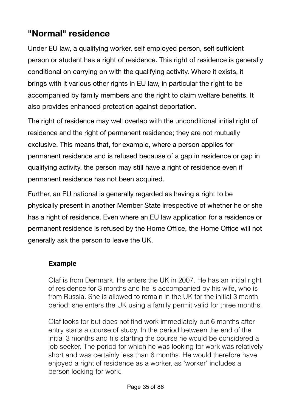# **"Normal" residence**

Under EU law, a qualifying worker, self employed person, self sufficient person or student has a right of residence. This right of residence is generally conditional on carrying on with the qualifying activity. Where it exists, it brings with it various other rights in EU law, in particular the right to be accompanied by family members and the right to claim welfare benefits. It also provides enhanced protection against deportation.

The right of residence may well overlap with the unconditional initial right of residence and the right of permanent residence; they are not mutually exclusive. This means that, for example, where a person applies for permanent residence and is refused because of a gap in residence or gap in qualifying activity, the person may still have a right of residence even if permanent residence has not been acquired.

Further, an EU national is generally regarded as having a right to be physically present in another Member State irrespective of whether he or she has a right of residence. Even where an EU law application for a residence or permanent residence is refused by the Home Office, the Home Office will not generally ask the person to leave the UK.

#### **Example**

Olaf is from Denmark. He enters the UK in 2007. He has an initial right of residence for 3 months and he is accompanied by his wife, who is from Russia. She is allowed to remain in the UK for the initial 3 month period; she enters the UK using a family permit valid for three months.

Olaf looks for but does not find work immediately but 6 months after entry starts a course of study. In the period between the end of the initial 3 months and his starting the course he would be considered a job seeker. The period for which he was looking for work was relatively short and was certainly less than 6 months. He would therefore have enjoyed a right of residence as a worker, as "worker" includes a person looking for work.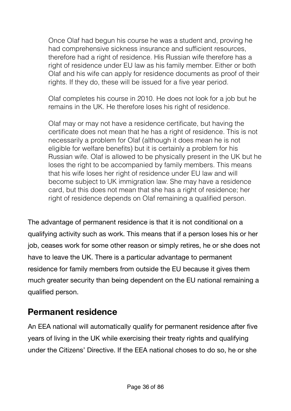Once Olaf had begun his course he was a student and, proving he had comprehensive sickness insurance and sufficient resources, therefore had a right of residence. His Russian wife therefore has a right of residence under EU law as his family member. Either or both Olaf and his wife can apply for residence documents as proof of their rights. If they do, these will be issued for a five year period.

Olaf completes his course in 2010. He does not look for a job but he remains in the UK. He therefore loses his right of residence.

Olaf may or may not have a residence certificate, but having the certificate does not mean that he has a right of residence. This is not necessarily a problem for Olaf (although it does mean he is not eligible for welfare benefits) but it is certainly a problem for his Russian wife. Olaf is allowed to be physically present in the UK but he loses the right to be accompanied by family members. This means that his wife loses her right of residence under EU law and will become subject to UK immigration law. She may have a residence card, but this does not mean that she has a right of residence; her right of residence depends on Olaf remaining a qualified person.

The advantage of permanent residence is that it is not conditional on a qualifying activity such as work. This means that if a person loses his or her job, ceases work for some other reason or simply retires, he or she does not have to leave the UK. There is a particular advantage to permanent residence for family members from outside the EU because it gives them much greater security than being dependent on the EU national remaining a qualified person.

## **Permanent residence**

An EEA national will automatically qualify for permanent residence after five years of living in the UK while exercising their treaty rights and qualifying under the Citizens' Directive. If the EEA national choses to do so, he or she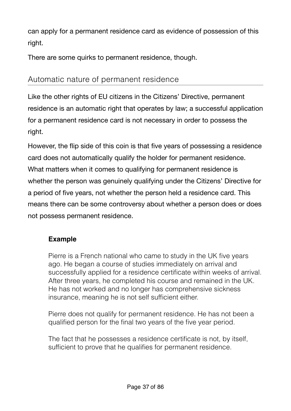can apply for a permanent residence card as evidence of possession of this right.

There are some quirks to permanent residence, though.

## Automatic nature of permanent residence

Like the other rights of EU citizens in the Citizens' Directive, permanent residence is an automatic right that operates by law; a successful application for a permanent residence card is not necessary in order to possess the right.

However, the flip side of this coin is that five years of possessing a residence card does not automatically qualify the holder for permanent residence. What matters when it comes to qualifying for permanent residence is whether the person was genuinely qualifying under the Citizens' Directive for a period of five years, not whether the person held a residence card. This means there can be some controversy about whether a person does or does not possess permanent residence.

#### **Example**

Pierre is a French national who came to study in the UK five years ago. He began a course of studies immediately on arrival and successfully applied for a residence certificate within weeks of arrival. After three years, he completed his course and remained in the UK. He has not worked and no longer has comprehensive sickness insurance, meaning he is not self sufficient either.

Pierre does not qualify for permanent residence. He has not been a qualified person for the final two years of the five year period.

The fact that he possesses a residence certificate is not, by itself, sufficient to prove that he qualifies for permanent residence.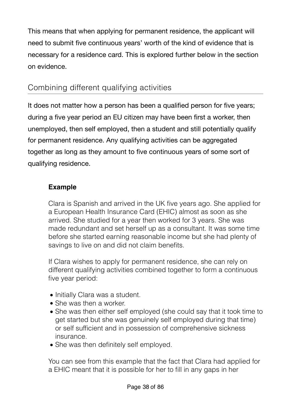This means that when applying for permanent residence, the applicant will need to submit five continuous years' worth of the kind of evidence that is necessary for a residence card. This is explored further below in the section on evidence.

## Combining different qualifying activities

It does not matter how a person has been a qualified person for five years; during a five year period an EU citizen may have been first a worker, then unemployed, then self employed, then a student and still potentially qualify for permanent residence. Any qualifying activities can be aggregated together as long as they amount to five continuous years of some sort of qualifying residence.

#### **Example**

Clara is Spanish and arrived in the UK five years ago. She applied for a European Health Insurance Card (EHIC) almost as soon as she arrived. She studied for a year then worked for 3 years. She was made redundant and set herself up as a consultant. It was some time before she started earning reasonable income but she had plenty of savings to live on and did not claim benefits.

If Clara wishes to apply for permanent residence, she can rely on different qualifying activities combined together to form a continuous five year period:

- Initially Clara was a student.
- She was then a worker.
- She was then either self employed (she could say that it took time to get started but she was genuinely self employed during that time) or self sufficient and in possession of comprehensive sickness insurance.
- She was then definitely self employed.

You can see from this example that the fact that Clara had applied for a EHIC meant that it is possible for her to fill in any gaps in her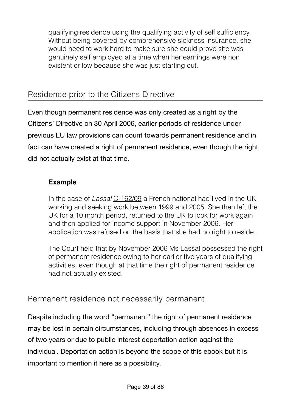qualifying residence using the qualifying activity of self sufficiency. Without being covered by comprehensive sickness insurance, she would need to work hard to make sure she could prove she was genuinely self employed at a time when her earnings were non existent or low because she was just starting out.

## Residence prior to the Citizens Directive

Even though permanent residence was only created as a right by the Citizens' Directive on 30 April 2006, earlier periods of residence under previous EU law provisions can count towards permanent residence and in fact can have created a right of permanent residence, even though the right did not actually exist at that time.

### **Example**

In the case of *Lassal* [C-162/09](http://www.bailii.org/eu/cases/EUECJ/2010/C16209.html) a French national had lived in the UK working and seeking work between 1999 and 2005. She then left the UK for a 10 month period, returned to the UK to look for work again and then applied for income support in November 2006. Her application was refused on the basis that she had no right to reside.

The Court held that by November 2006 Ms Lassal possessed the right of permanent residence owing to her earlier five years of qualifying activities, even though at that time the right of permanent residence had not actually existed.

### Permanent residence not necessarily permanent

Despite including the word "permanent" the right of permanent residence may be lost in certain circumstances, including through absences in excess of two years or due to public interest deportation action against the individual. Deportation action is beyond the scope of this ebook but it is important to mention it here as a possibility.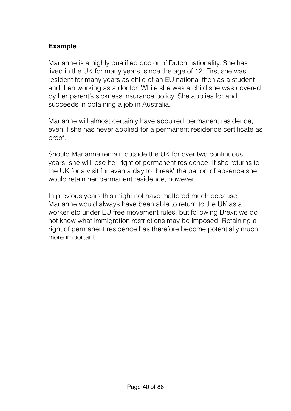#### **Example**

Marianne is a highly qualified doctor of Dutch nationality. She has lived in the UK for many years, since the age of 12. First she was resident for many years as child of an EU national then as a student and then working as a doctor. While she was a child she was covered by her parent's sickness insurance policy. She applies for and succeeds in obtaining a job in Australia.

Marianne will almost certainly have acquired permanent residence, even if she has never applied for a permanent residence certificate as proof.

Should Marianne remain outside the UK for over two continuous years, she will lose her right of permanent residence. If she returns to the UK for a visit for even a day to "break" the period of absence she would retain her permanent residence, however.

In previous years this might not have mattered much because Marianne would always have been able to return to the UK as a worker etc under EU free movement rules, but following Brexit we do not know what immigration restrictions may be imposed. Retaining a right of permanent residence has therefore become potentially much more important.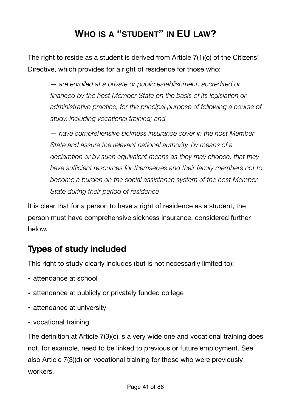# **WHO IS A "STUDENT" IN EU LAW?**

The right to reside as a student is derived from Article 7(1)(c) of the Citizens' Directive, which provides for a right of residence for those who:

*— are enrolled at a private or public establishment, accredited or financed by the host Member State on the basis of its legislation or administrative practice, for the principal purpose of following a course of study, including vocational training; and* 

*— have comprehensive sickness insurance cover in the host Member State and assure the relevant national authority, by means of a declaration or by such equivalent means as they may choose, that they have sufficient resources for themselves and their family members not to become a burden on the social assistance system of the host Member State during their period of residence*

It is clear that for a person to have a right of residence as a student, the person must have comprehensive sickness insurance, considered further below.

# **Types of study included**

This right to study clearly includes (but is not necessarily limited to):

- attendance at school
- attendance at publicly or privately funded college
- attendance at university
- vocational training.

The definition at Article 7(3)(c) is a very wide one and vocational training does not, for example, need to be linked to previous or future employment. See also Article 7(3)(d) on vocational training for those who were previously workers.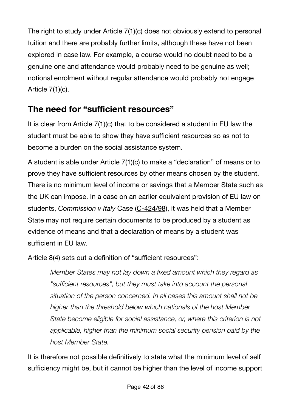The right to study under Article 7(1)(c) does not obviously extend to personal tuition and there are probably further limits, although these have not been explored in case law. For example, a course would no doubt need to be a genuine one and attendance would probably need to be genuine as well; notional enrolment without regular attendance would probably not engage Article 7(1)(c).

# **The need for "sufficient resources"**

It is clear from Article 7(1)(c) that to be considered a student in EU law the student must be able to show they have sufficient resources so as not to become a burden on the social assistance system.

A student is able under Article 7(1)(c) to make a "declaration" of means or to prove they have sufficient resources by other means chosen by the student. There is no minimum level of income or savings that a Member State such as the UK can impose. In a case on an earlier equivalent provision of EU law on students, *Commission v Italy* Case [\(C-424/98\)](http://eur-lex.europa.eu/legal-content/EN/TXT/?uri=CELEX%3A61998CJ0424), it was held that a Member State may not require certain documents to be produced by a student as evidence of means and that a declaration of means by a student was sufficient in EU law.

Article 8(4) sets out a definition of "sufficient resources":

*Member States may not lay down a fixed amount which they regard as "sufficient resources", but they must take into account the personal situation of the person concerned. In all cases this amount shall not be higher than the threshold below which nationals of the host Member State become eligible for social assistance, or, where this criterion is not applicable, higher than the minimum social security pension paid by the host Member State.*

It is therefore not possible definitively to state what the minimum level of self sufficiency might be, but it cannot be higher than the level of income support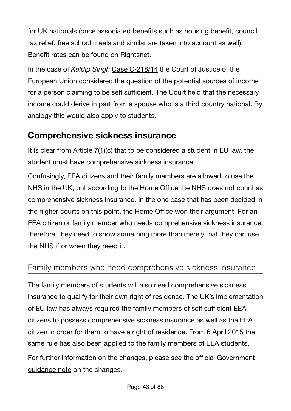for UK nationals (once associated benefits such as housing benefit, council tax relief, free school meals and similar are taken into account as well). Benefit rates can be found on [Rightsnet](http://www.rightsnet.org.uk/resources/benefit-tax-credit-rates).

In the case of *Kuldip Singh* [Case C](http://curia.europa.eu/juris/document/document_print.jsf?doclang=EN&text=&pageIndex=0&part=1&mode=DOC&docid=165901&occ=first&dir=&cid=322672)‑218/14 the Court of Justice of the European Union considered the question of the potential sources of income for a person claiming to be self sufficient. The Court held that the necessary income could derive in part from a spouse who is a third country national. By analogy this would also apply to students.

# **Comprehensive sickness insurance**

It is clear from Article 7(1)(c) that to be considered a student in EU law, the student must have comprehensive sickness insurance.

Confusingly, EEA citizens and their family members are allowed to use the NHS in the UK, but according to the Home Office the NHS does not count as comprehensive sickness insurance. In the one case that has been decided in the higher courts on this point, the Home Office won their argument. For an EEA citizen or family member who needs comprehensive sickness insurance, therefore, they need to show something more than merely that they can use the NHS if or when they need it.

### Family members who need comprehensive sickness insurance

The family members of students will also need comprehensive sickness insurance to qualify for their own right of residence. The UK's implementation of EU law has always required the family members of self sufficient EEA citizens to possess comprehensive sickness insurance as well as the EEA citizen in order for them to have a right of residence. From 6 April 2015 the same rule has also been applied to the family members of EEA students.

For further information on the changes, please see the official Government [guidance note](https://www.gov.uk/government/uploads/system/uploads/attachment_data/file/431618/comprehensive_sickness_insurance_for_family_members_of_students.pdf) on the changes.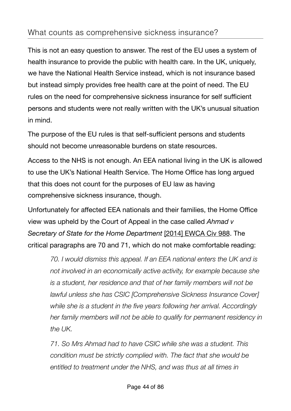## What counts as comprehensive sickness insurance?

This is not an easy question to answer. The rest of the EU uses a system of health insurance to provide the public with health care. In the UK, uniquely, we have the National Health Service instead, which is not insurance based but instead simply provides free health care at the point of need. The EU rules on the need for comprehensive sickness insurance for self sufficient persons and students were not really written with the UK's unusual situation in mind.

The purpose of the EU rules is that self-sufficient persons and students should not become unreasonable burdens on state resources.

Access to the NHS is not enough. An EEA national living in the UK is allowed to use the UK's National Health Service. The Home Office has long argued that this does not count for the purposes of EU law as having comprehensive sickness insurance, though.

Unfortunately for affected EEA nationals and their families, the Home Office view was upheld by the Court of Appeal in the case called *Ahmad v Secretary of State for the Home Department* [\[2014\] EWCA Civ 988](http://www.bailii.org/ew/cases/EWCA/Civ/2014/988.html). The critical paragraphs are 70 and 71, which do not make comfortable reading:

*70. I would dismiss this appeal. If an EEA national enters the UK and is not involved in an economically active activity, for example because she is a student, her residence and that of her family members will not be lawful unless she has CSIC [Comprehensive Sickness Insurance Cover] while she is a student in the five years following her arrival. Accordingly her family members will not be able to qualify for permanent residency in the UK.* 

*71. So Mrs Ahmad had to have CSIC while she was a student. This condition must be strictly complied with. The fact that she would be entitled to treatment under the NHS, and was thus at all times in*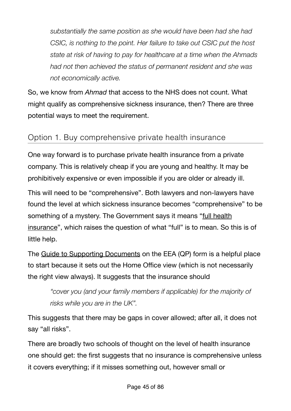*substantially the same position as she would have been had she had CSIC, is nothing to the point. Her failure to take out CSIC put the host state at risk of having to pay for healthcare at a time when the Ahmads had not then achieved the status of permanent resident and she was not economically active.* 

So, we know from *Ahmad* that access to the NHS does not count. What might qualify as comprehensive sickness insurance, then? There are three potential ways to meet the requirement.

### Option 1. Buy comprehensive private health insurance

One way forward is to purchase private health insurance from a private company. This is relatively cheap if you are young and healthy. It may be prohibitively expensive or even impossible if you are older or already ill.

This will need to be "comprehensive". Both lawyers and non-lawyers have found the level at which sickness insurance becomes "comprehensive" to be something of a mystery. The Government says it means ["full health](https://www.gov.uk/family-permit/documents-you-must-provide)  [insurance](https://www.gov.uk/family-permit/documents-you-must-provide)", which raises the question of what "full" is to mean. So this is of little help.

The [Guide to Supporting Documents](https://www.gov.uk/government/uploads/system/uploads/attachment_data/file/446544/EEA_QP__guide-to-supporting-documents_v1.pdf) on the EEA (QP) form is a helpful place to start because it sets out the Home Office view (which is not necessarily the right view always). It suggests that the insurance should

*"cover you (and your family members if applicable) for the majority of risks while you are in the UK".* 

This suggests that there may be gaps in cover allowed; after all, it does not say "all risks".

There are broadly two schools of thought on the level of health insurance one should get: the first suggests that no insurance is comprehensive unless it covers everything; if it misses something out, however small or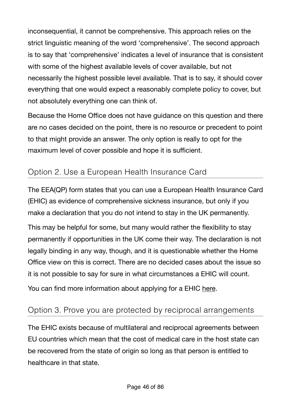inconsequential, it cannot be comprehensive. This approach relies on the strict linguistic meaning of the word 'comprehensive'. The second approach is to say that 'comprehensive' indicates a level of insurance that is consistent with some of the highest available levels of cover available, but not necessarily the highest possible level available. That is to say, it should cover everything that one would expect a reasonably complete policy to cover, but not absolutely everything one can think of.

Because the Home Office does not have guidance on this question and there are no cases decided on the point, there is no resource or precedent to point to that might provide an answer. The only option is really to opt for the maximum level of cover possible and hope it is sufficient.

## Option 2. Use a European Health Insurance Card

The EEA(QP) form states that you can use a European Health Insurance Card (EHIC) as evidence of comprehensive sickness insurance, but only if you make a declaration that you do not intend to stay in the UK permanently.

This may be helpful for some, but many would rather the flexibility to stay permanently if opportunities in the UK come their way. The declaration is not legally binding in any way, though, and it is questionable whether the Home Office view on this is correct. There are no decided cases about the issue so it is not possible to say for sure in what circumstances a EHIC will count.

You can find more information about applying for a EHIC [here](http://ec.europa.eu/social/main.jsp?catId=563).

## Option 3. Prove you are protected by reciprocal arrangements

The EHIC exists because of multilateral and reciprocal agreements between EU countries which mean that the cost of medical care in the host state can be recovered from the state of origin so long as that person is entitled to healthcare in that state.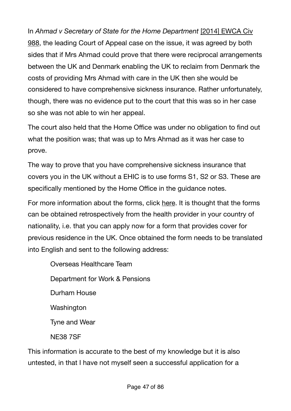In *Ahmad v Secretary of State for the Home Department* [\[2014\] EWCA Civ](http://www.bailii.org/ew/cases/EWCA/Civ/2014/988.html)  [988](http://www.bailii.org/ew/cases/EWCA/Civ/2014/988.html), the leading Court of Appeal case on the issue, it was agreed by both sides that if Mrs Ahmad could prove that there were reciprocal arrangements between the UK and Denmark enabling the UK to reclaim from Denmark the costs of providing Mrs Ahmad with care in the UK then she would be considered to have comprehensive sickness insurance. Rather unfortunately, though, there was no evidence put to the court that this was so in her case so she was not able to win her appeal.

The court also held that the Home Office was under no obligation to find out what the position was; that was up to Mrs Ahmad as it was her case to prove.

The way to prove that you have comprehensive sickness insurance that covers you in the UK without a EHIC is to use forms S1, S2 or S3. These are specifically mentioned by the Home Office in the guidance notes.

For more information about the forms, click [here](http://europa.eu/youreurope/citizens/work/social-security-forms/index_en.htm). It is thought that the forms can be obtained retrospectively from the health provider in your country of nationality, i.e. that you can apply now for a form that provides cover for previous residence in the UK. Once obtained the form needs to be translated into English and sent to the following address:

Overseas Healthcare Team Department for Work & Pensions Durham House **Washington** Tyne and Wear NE38 7SF

This information is accurate to the best of my knowledge but it is also untested, in that I have not myself seen a successful application for a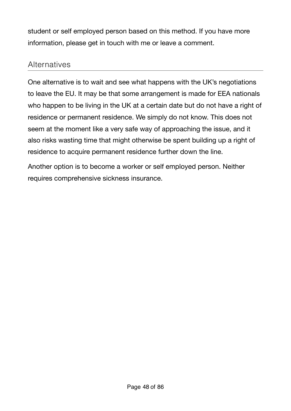student or self employed person based on this method. If you have more information, please get in touch with me or leave a comment.

### Alternatives

One alternative is to wait and see what happens with the UK's negotiations to leave the EU. It may be that some arrangement is made for EEA nationals who happen to be living in the UK at a certain date but do not have a right of residence or permanent residence. We simply do not know. This does not seem at the moment like a very safe way of approaching the issue, and it also risks wasting time that might otherwise be spent building up a right of residence to acquire permanent residence further down the line.

Another option is to become a worker or self employed person. Neither requires comprehensive sickness insurance.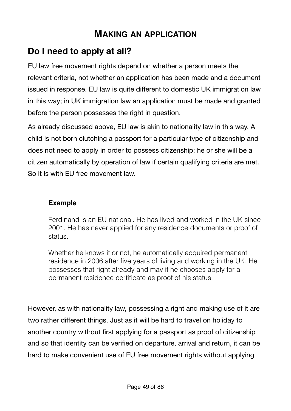## **MAKING AN APPLICATION**

# **Do I need to apply at all?**

EU law free movement rights depend on whether a person meets the relevant criteria, not whether an application has been made and a document issued in response. EU law is quite different to domestic UK immigration law in this way; in UK immigration law an application must be made and granted before the person possesses the right in question.

As already discussed above, EU law is akin to nationality law in this way. A child is not born clutching a passport for a particular type of citizenship and does not need to apply in order to possess citizenship; he or she will be a citizen automatically by operation of law if certain qualifying criteria are met. So it is with EU free movement law.

#### **Example**

Ferdinand is an EU national. He has lived and worked in the UK since 2001. He has never applied for any residence documents or proof of status.

Whether he knows it or not, he automatically acquired permanent residence in 2006 after five years of living and working in the UK. He possesses that right already and may if he chooses apply for a permanent residence certificate as proof of his status.

However, as with nationality law, possessing a right and making use of it are two rather different things. Just as it will be hard to travel on holiday to another country without first applying for a passport as proof of citizenship and so that identity can be verified on departure, arrival and return, it can be hard to make convenient use of EU free movement rights without applying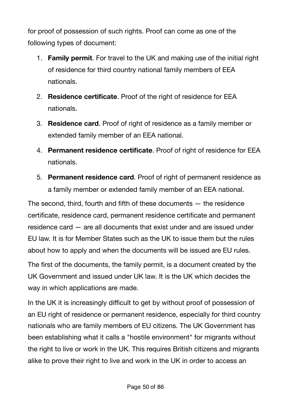for proof of possession of such rights. Proof can come as one of the following types of document:

- 1. **Family permit**. For travel to the UK and making use of the initial right of residence for third country national family members of EEA nationals.
- 2. **Residence certificate**. Proof of the right of residence for EEA nationals.
- 3. **Residence card**. Proof of right of residence as a family member or extended family member of an EEA national.
- 4. **Permanent residence certificate**. Proof of right of residence for EEA nationals.
- 5. **Permanent residence card**. Proof of right of permanent residence as a family member or extended family member of an EEA national.

The second, third, fourth and fifth of these documents  $-$  the residence certificate, residence card, permanent residence certificate and permanent residence card — are all documents that exist under and are issued under EU law. It is for Member States such as the UK to issue them but the rules about how to apply and when the documents will be issued are EU rules.

The first of the documents, the family permit, is a document created by the UK Government and issued under UK law. It is the UK which decides the way in which applications are made.

In the UK it is increasingly difficult to get by without proof of possession of an EU right of residence or permanent residence, especially for third country nationals who are family members of EU citizens. The UK Government has been establishing what it calls a "hostile environment" for migrants without the right to live or work in the UK. This requires British citizens and migrants alike to prove their right to live and work in the UK in order to access an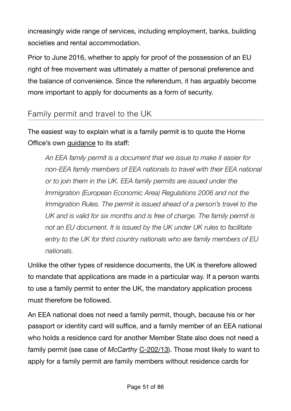increasingly wide range of services, including employment, banks, building societies and rental accommodation.

Prior to June 2016, whether to apply for proof of the possession of an EU right of free movement was ultimately a matter of personal preference and the balance of convenience. Since the referendum, it has arguably become more important to apply for documents as a form of security.

## Family permit and travel to the UK

The easiest way to explain what is a family permit is to quote the Home Office's own [guidance](https://www.gov.uk/government/publications/eea-family-permits-eun02/eea-family-permit-eun02#eun214-can-family-members-of-british-citizens-qualify-for-an-eea-family-permit-surinder-singh-cases) to its staff:

*An EEA family permit is a document that we issue to make it easier for non-EEA family members of EEA nationals to travel with their EEA national or to join them in the UK. EEA family permits are issued under the Immigration (European Economic Area) Regulations 2006 and not the Immigration Rules. The permit is issued ahead of a person's travel to the UK and is valid for six months and is free of charge. The family permit is not an EU document. It is issued by the UK under UK rules to facilitate entry to the UK for third country nationals who are family members of EU nationals.* 

Unlike the other types of residence documents, the UK is therefore allowed to mandate that applications are made in a particular way. If a person wants to use a family permit to enter the UK, the mandatory application process must therefore be followed.

An EEA national does not need a family permit, though, because his or her passport or identity card will suffice, and a family member of an EEA national who holds a residence card for another Member State also does not need a family permit (see case of *McCarthy* [C-202/13](http://www.bailii.org/eu/cases/EUECJ/2014/C20213.html)). Those most likely to want to apply for a family permit are family members without residence cards for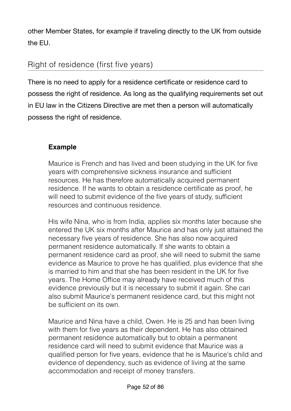other Member States, for example if traveling directly to the UK from outside the EU.

## Right of residence (first five years)

There is no need to apply for a residence certificate or residence card to possess the right of residence. As long as the qualifying requirements set out in EU law in the Citizens Directive are met then a person will automatically possess the right of residence.

### **Example**

Maurice is French and has lived and been studying in the UK for five years with comprehensive sickness insurance and sufficient resources. He has therefore automatically acquired permanent residence. If he wants to obtain a residence certificate as proof, he will need to submit evidence of the five years of study, sufficient resources and continuous residence.

His wife Nina, who is from India, applies six months later because she entered the UK six months after Maurice and has only just attained the necessary five years of residence. She has also now acquired permanent residence automatically. If she wants to obtain a permanent residence card as proof, she will need to submit the same evidence as Maurice to prove he has qualified, plus evidence that she is married to him and that she has been resident in the UK for five years. The Home Office may already have received much of this evidence previously but it is necessary to submit it again. She can also submit Maurice's permanent residence card, but this might not be sufficient on its own.

Maurice and Nina have a child, Owen. He is 25 and has been living with them for five years as their dependent. He has also obtained permanent residence automatically but to obtain a permanent residence card will need to submit evidence that Maurice was a qualified person for five years, evidence that he is Maurice's child and evidence of dependency, such as evidence of living at the same accommodation and receipt of money transfers.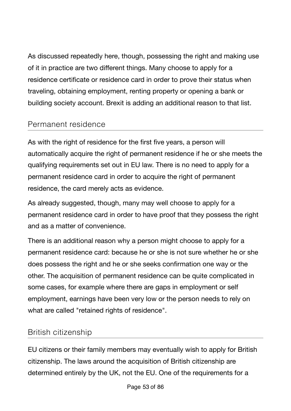As discussed repeatedly here, though, possessing the right and making use of it in practice are two different things. Many choose to apply for a residence certificate or residence card in order to prove their status when traveling, obtaining employment, renting property or opening a bank or building society account. Brexit is adding an additional reason to that list.

### Permanent residence

As with the right of residence for the first five years, a person will automatically acquire the right of permanent residence if he or she meets the qualifying requirements set out in EU law. There is no need to apply for a permanent residence card in order to acquire the right of permanent residence, the card merely acts as evidence.

As already suggested, though, many may well choose to apply for a permanent residence card in order to have proof that they possess the right and as a matter of convenience.

There is an additional reason why a person might choose to apply for a permanent residence card: because he or she is not sure whether he or she does possess the right and he or she seeks confirmation one way or the other. The acquisition of permanent residence can be quite complicated in some cases, for example where there are gaps in employment or self employment, earnings have been very low or the person needs to rely on what are called "retained rights of residence".

### British citizenship

EU citizens or their family members may eventually wish to apply for British citizenship. The laws around the acquisition of British citizenship are determined entirely by the UK, not the EU. One of the requirements for a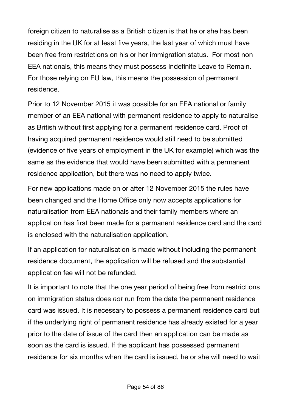foreign citizen to naturalise as a British citizen is that he or she has been residing in the UK for at least five years, the last year of which must have been free from restrictions on his or her immigration status. For most non EEA nationals, this means they must possess Indefinite Leave to Remain. For those relying on EU law, this means the possession of permanent residence.

Prior to 12 November 2015 it was possible for an EEA national or family member of an EEA national with permanent residence to apply to naturalise as British without first applying for a permanent residence card. Proof of having acquired permanent residence would still need to be submitted (evidence of five years of employment in the UK for example) which was the same as the evidence that would have been submitted with a permanent residence application, but there was no need to apply twice.

For new applications made on or after 12 November 2015 the rules have been changed and the Home Office only now accepts applications for naturalisation from EEA nationals and their family members where an application has first been made for a permanent residence card and the card is enclosed with the naturalisation application.

If an application for naturalisation is made without including the permanent residence document, the application will be refused and the substantial application fee will not be refunded.

It is important to note that the one year period of being free from restrictions on immigration status does *not* run from the date the permanent residence card was issued. It is necessary to possess a permanent residence card but if the underlying right of permanent residence has already existed for a year prior to the date of issue of the card then an application can be made as soon as the card is issued. If the applicant has possessed permanent residence for six months when the card is issued, he or she will need to wait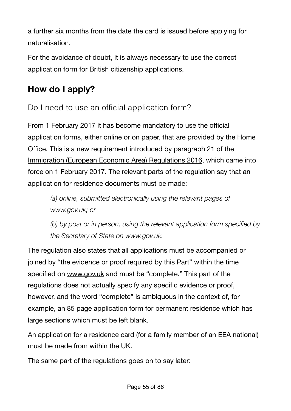a further six months from the date the card is issued before applying for naturalisation.

For the avoidance of doubt, it is always necessary to use the correct application form for British citizenship applications.

# **How do I apply?**

## Do I need to use an official application form?

From 1 February 2017 it has become mandatory to use the official application forms, either online or on paper, that are provided by the Home Office. This is a new requirement introduced by paragraph 21 of the [Immigration \(European Economic Area\) Regulations 2016,](http://www.legislation.gov.uk/uksi/2016/1052/made) which came into force on 1 February 2017. The relevant parts of the regulation say that an application for residence documents must be made:

*(a) online, submitted electronically using the relevant pages of www.gov.uk; or* 

*(b) by post or in person, using the relevant application form specified by the Secretary of State on www.gov.uk.*

The regulation also states that all applications must be accompanied or joined by "the evidence or proof required by this Part" within the time specified on [www.gov.uk](http://www.gov.uk) and must be "complete." This part of the regulations does not actually specify any specific evidence or proof, however, and the word "complete" is ambiguous in the context of, for example, an 85 page application form for permanent residence which has large sections which must be left blank.

An application for a residence card (for a family member of an EEA national) must be made from within the UK.

The same part of the regulations goes on to say later: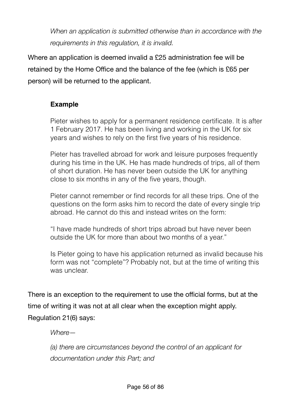*When an application is submitted otherwise than in accordance with the requirements in this regulation, it is invalid.* 

Where an application is deemed invalid a £25 administration fee will be retained by the Home Office and the balance of the fee (which is £65 per person) will be returned to the applicant.

#### **Example**

Pieter wishes to apply for a permanent residence certificate. It is after 1 February 2017. He has been living and working in the UK for six years and wishes to rely on the first five years of his residence.

Pieter has travelled abroad for work and leisure purposes frequently during his time in the UK. He has made hundreds of trips, all of them of short duration. He has never been outside the UK for anything close to six months in any of the five years, though.

Pieter cannot remember or find records for all these trips. One of the questions on the form asks him to record the date of every single trip abroad. He cannot do this and instead writes on the form:

"I have made hundreds of short trips abroad but have never been outside the UK for more than about two months of a year."

Is Pieter going to have his application returned as invalid because his form was not "complete"? Probably not, but at the time of writing this was unclear.

There is an exception to the requirement to use the official forms, but at the time of writing it was not at all clear when the exception might apply. Regulation 21(6) says:

*Where—* 

*(a) there are circumstances beyond the control of an applicant for documentation under this Part; and*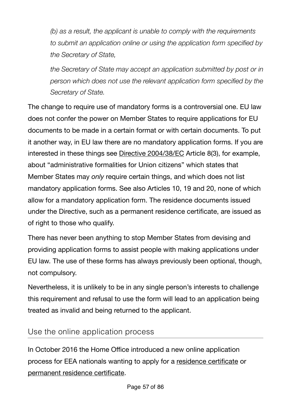*(b) as a result, the applicant is unable to comply with the requirements to submit an application online or using the application form specified by the Secretary of State,* 

*the Secretary of State may accept an application submitted by post or in person which does not use the relevant application form specified by the Secretary of State.*

The change to require use of mandatory forms is a controversial one. EU law does not confer the power on Member States to require applications for EU documents to be made in a certain format or with certain documents. To put it another way, in EU law there are no mandatory application forms. If you are interested in these things see [Directive 2004/38/EC](http://eur-lex.europa.eu/LexUriServ/LexUriServ.do?uri=OJ:L:2004:158:0077:0123:en:PDF) Article 8(3), for example, about "administrative formalities for Union citizens" which states that Member States may *only* require certain things, and which does not list mandatory application forms. See also Articles 10, 19 and 20, none of which allow for a mandatory application form. The residence documents issued under the Directive, such as a permanent residence certificate, are issued as of right to those who qualify.

There has never been anything to stop Member States from devising and providing application forms to assist people with making applications under EU law. The use of these forms has always previously been optional, though, not compulsory.

Nevertheless, it is unlikely to be in any single person's interests to challenge this requirement and refusal to use the form will lead to an application being treated as invalid and being returned to the applicant.

### Use the online application process

In October 2016 the Home Office introduced a new online application process for EEA nationals wanting to apply for a [residence certificate](https://visas-immigration.service.gov.uk/product/eea-qp) or [permanent residence certificate](https://visas-immigration.service.gov.uk/product/eea-pr).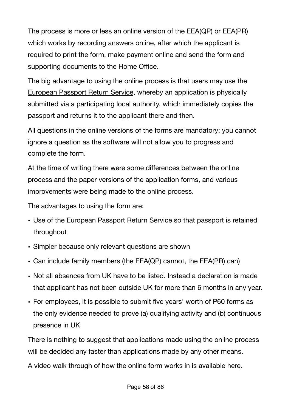The process is more or less an online version of the EEA(QP) or EEA(PR) which works by recording answers online, after which the applicant is required to print the form, make payment online and send the form and supporting documents to the Home Office.

The big advantage to using the online process is that users may use the [European Passport Return Service,](https://www.gov.uk/government/collections/european-passport-return-service) whereby an application is physically submitted via a participating local authority, which immediately copies the passport and returns it to the applicant there and then.

All questions in the online versions of the forms are mandatory; you cannot ignore a question as the software will not allow you to progress and complete the form.

At the time of writing there were some differences between the online process and the paper versions of the application forms, and various improvements were being made to the online process.

The advantages to using the form are:

- Use of the European Passport Return Service so that passport is retained throughout
- Simpler because only relevant questions are shown
- Can include family members (the EEA(QP) cannot, the EEA(PR) can)
- Not all absences from UK have to be listed. Instead a declaration is made that applicant has not been outside UK for more than 6 months in any year.
- For employees, it is possible to submit five years' worth of P60 forms as the only evidence needed to prove (a) qualifying activity and (b) continuous presence in UK

There is nothing to suggest that applications made using the online process will be decided any faster than applications made by any other means.

A video walk through of how the online form works in is available [here](https://www.freemovement.org.uk/online-eea-permanent-residence-european-passport-return-service-now-available/).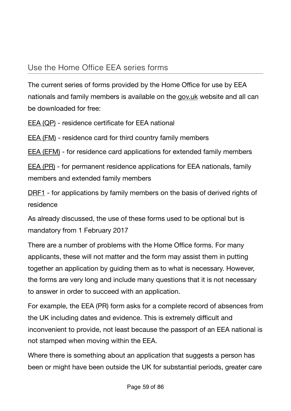### Use the Home Office EEA series forms

The current series of forms provided by the Home Office for use by EEA nationals and family members is available on the [gov.uk](https://www.gov.uk/government/collections/uk-visa-forms#application-forms-for-citizens-of-the-european-economic-area) website and all can be downloaded for free:

[EEA \(QP\)](https://www.gov.uk/government/publications/apply-for-a-registration-certificate-as-a-qualified-person-form-eea-qp) - residence certificate for EEA national

[EEA \(FM\)](https://www.gov.uk/government/publications/apply-for-a-registration-certificate-or-residence-card-for-a-family-member-form-eea-fm) - residence card for third country family members

[EEA \(EFM\)](https://www.gov.uk/government/publications/apply-for-a-registration-certificate-or-residence-card-for-an-extended-family-member-form-eea-efm) - for residence card applications for extended family members

[EEA \(PR\)](https://www.gov.uk/government/publications/apply-for-a-document-certifying-permanent-residence-or-permanent-residence-card-form-eea-pr) - for permanent residence applications for EEA nationals, family members and extended family members

[DRF1](https://www.gov.uk/government/publications/application-for-derivative-residence-card-in-uk-form-drf1) - for applications by family members on the basis of derived rights of residence

As already discussed, the use of these forms used to be optional but is mandatory from 1 February 2017

There are a number of problems with the Home Office forms. For many applicants, these will not matter and the form may assist them in putting together an application by guiding them as to what is necessary. However, the forms are very long and include many questions that it is not necessary to answer in order to succeed with an application.

For example, the EEA (PR) form asks for a complete record of absences from the UK including dates and evidence. This is extremely difficult and inconvenient to provide, not least because the passport of an EEA national is not stamped when moving within the EEA.

Where there is something about an application that suggests a person has been or might have been outside the UK for substantial periods, greater care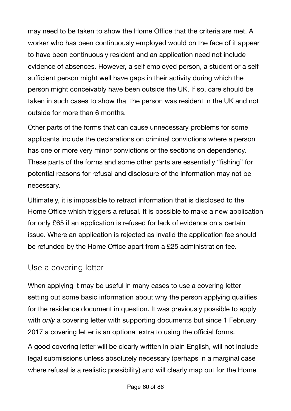may need to be taken to show the Home Office that the criteria are met. A worker who has been continuously employed would on the face of it appear to have been continuously resident and an application need not include evidence of absences. However, a self employed person, a student or a self sufficient person might well have gaps in their activity during which the person might conceivably have been outside the UK. If so, care should be taken in such cases to show that the person was resident in the UK and not outside for more than 6 months.

Other parts of the forms that can cause unnecessary problems for some applicants include the declarations on criminal convictions where a person has one or more very minor convictions or the sections on dependency. These parts of the forms and some other parts are essentially "fishing" for potential reasons for refusal and disclosure of the information may not be necessary.

Ultimately, it is impossible to retract information that is disclosed to the Home Office which triggers a refusal. It is possible to make a new application for only £65 if an application is refused for lack of evidence on a certain issue. Where an application is rejected as invalid the application fee should be refunded by the Home Office apart from a £25 administration fee.

### Use a covering letter

When applying it may be useful in many cases to use a covering letter setting out some basic information about why the person applying qualifies for the residence document in question. It was previously possible to apply with *only* a covering letter with supporting documents but since 1 February 2017 a covering letter is an optional extra to using the official forms.

A good covering letter will be clearly written in plain English, will not include legal submissions unless absolutely necessary (perhaps in a marginal case where refusal is a realistic possibility) and will clearly map out for the Home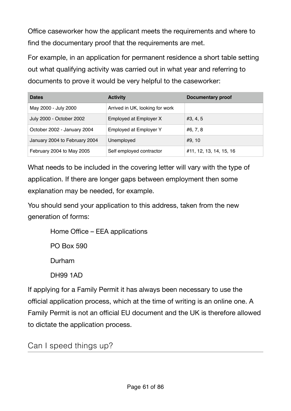Office caseworker how the applicant meets the requirements and where to find the documentary proof that the requirements are met.

For example, in an application for permanent residence a short table setting out what qualifying activity was carried out in what year and referring to documents to prove it would be very helpful to the caseworker:

| <b>Dates</b>                  | <b>Activity</b>                 | <b>Documentary proof</b> |
|-------------------------------|---------------------------------|--------------------------|
| May 2000 - July 2000          | Arrived in UK, looking for work |                          |
| July 2000 - October 2002      | Employed at Employer X          | #3, 4, 5                 |
| October 2002 - January 2004   | Employed at Employer Y          | #6, 7, 8                 |
| January 2004 to February 2004 | Unemployed                      | #9, 10                   |
| February 2004 to May 2005     | Self employed contractor        | #11, 12, 13, 14, 15, 16  |

What needs to be included in the covering letter will vary with the type of application. If there are longer gaps between employment then some explanation may be needed, for example.

You should send your application to this address, taken from the new generation of forms:

Home Office – EEA applications

PO Box 590

Durham

DH99 1AD

If applying for a Family Permit it has always been necessary to use the official application process, which at the time of writing is an online one. A Family Permit is not an official EU document and the UK is therefore allowed to dictate the application process.

Can I speed things up?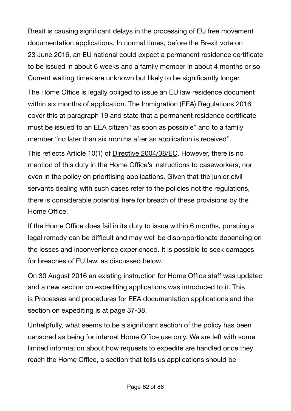Brexit is causing significant delays in the processing of EU free movement documentation applications. In normal times, before the Brexit vote on 23 June 2016, an EU national could expect a permanent residence certificate to be issued in about 6 weeks and a family member in about 4 months or so. Current waiting times are unknown but likely to be significantly longer.

The Home Office is legally obliged to issue an EU law residence document within six months of application. The Immigration (EEA) Regulations 2016 cover this at paragraph 19 and state that a permanent residence certificate must be issued to an EEA citizen "as soon as possible" and to a family member "no later than six months after an application is received".

This reflects Article 10(1) of Directive [2004/38/EC](http://eur-lex.europa.eu/LexUriServ/LexUriServ.do?uri=OJ:L:2004:158:0077:0123:en:PDF). However, there is no mention of this duty in the Home Office's instructions to caseworkers, nor even in the policy on prioritising applications. Given that the junior civil servants dealing with such cases refer to the policies not the regulations, there is considerable potential here for breach of these provisions by the Home Office.

If the Home Office does fail in its duty to issue within 6 months, pursuing a legal remedy can be difficult and may well be disproportionate depending on the losses and inconvenience experienced. It is possible to seek damages for breaches of EU law, as discussed below.

On 30 August 2016 an existing instruction for Home Office staff was updated and a new section on expediting applications was introduced to it. This is [Processes and procedures for EEA documentation applications](https://www.gov.uk/government/publications/processes-and-procedures-for-eea-documentation-applications) and the section on expediting is at page 37-38.

Unhelpfully, what seems to be a significant section of the policy has been censored as being for internal Home Office use only. We are left with some limited information about how requests to expedite are handled once they reach the Home Office, a section that tells us applications should be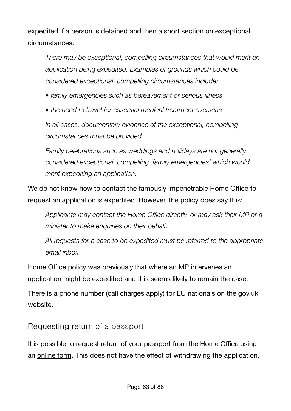expedited if a person is detained and then a short section on exceptional circumstances:

*There may be exceptional, compelling circumstances that would merit an application being expedited. Examples of grounds which could be considered exceptional, compelling circumstances include:* 

- *• family emergencies such as bereavement or serious illness*
- *• the need to travel for essential medical treatment overseas*

*In all cases, documentary evidence of the exceptional, compelling circumstances must be provided.* 

*Family celebrations such as weddings and holidays are not generally considered exceptional, compelling 'family emergencies' which would merit expediting an application.* 

We do not know how to contact the famously impenetrable Home Office to request an application is expedited. However, the policy does say this:

*Applicants may contact the Home Office directly, or may ask their MP or a minister to make enquiries on their behalf.* 

*All requests for a case to be expedited must be referred to the appropriate email inbox.* 

Home Office policy was previously that where an MP intervenes an application might be expedited and this seems likely to remain the case.

There is a phone number (call charges apply) for EU nationals on the [gov.uk](https://www.gov.uk/contact-ukvi/european-nationals) website.

#### Requesting return of a passport

It is possible to request return of your passport from the Home Office using an [online form](https://eforms.homeoffice.gov.uk/outreach/Return_of_Documents.ofml). This does not have the effect of withdrawing the application,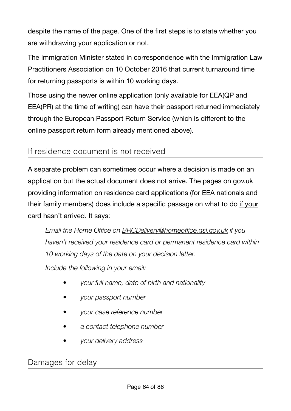despite the name of the page. One of the first steps is to state whether you are withdrawing your application or not.

The Immigration Minister stated in correspondence with the Immigration Law Practitioners Association on 10 October 2016 that current turnaround time for returning passports is within 10 working days.

Those using the newer online application (only available for EEA(QP and EEA(PR) at the time of writing) can have their passport returned immediately through the [European Passport Return Service](https://www.gov.uk/government/collections/european-passport-return-service) (which is different to the online passport return form already mentioned above).

## If residence document is not received

A separate problem can sometimes occur where a decision is made on an application but the actual document does not arrive. The pages on gov.uk providing information on residence card applications (for EEA nationals and their family members) does include a specific passage on what to do [if your](https://www.gov.uk/apply-for-a-uk-residence-card/card-hasnt-arrived)  [card hasn't arrived](https://www.gov.uk/apply-for-a-uk-residence-card/card-hasnt-arrived). It says:

*Email the Home Office on [BRCDelivery@homeoffice.gsi.gov.uk](mailto:BRCDelivery@homeoffice.gsi.gov.uk) if you haven't received your residence card or permanent residence card within 10 working days of the date on your decision letter.* 

*Include the following in your email:* 

- *• your full name, date of birth and nationality*
- *• your passport number*
- *• your case reference number*
- *• a contact telephone number*
- *• your delivery address*

Damages for delay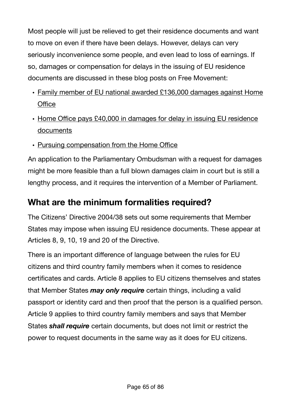Most people will just be relieved to get their residence documents and want to move on even if there have been delays. However, delays can very seriously inconvenience some people, and even lead to loss of earnings. If so, damages or compensation for delays in the issuing of EU residence documents are discussed in these blog posts on Free Movement:

- [Family member of EU national awarded £136,000 damages against Home](https://www.freemovement.org.uk/family-member-of-eu-national-awarded-136000-damages-against-home-office/)  **Offi[ce](https://www.freemovement.org.uk/family-member-of-eu-national-awarded-136000-damages-against-home-office/)**
- Home Offi[ce pays £40,000 in damages for delay in issuing EU residence](https://www.freemovement.org.uk/home-office-pays-40000-in-damages-for-delay-in-issuing-eu-residence-documents/)  [documents](https://www.freemovement.org.uk/home-office-pays-40000-in-damages-for-delay-in-issuing-eu-residence-documents/)
- [Pursuing compensation from the Home O](https://www.freemovement.org.uk/pursuing-compensation-from-the-home-office/)ffice

An application to the Parliamentary Ombudsman with a request for damages might be more feasible than a full blown damages claim in court but is still a lengthy process, and it requires the intervention of a Member of Parliament.

# **What are the minimum formalities required?**

The Citizens' Directive 2004/38 sets out some requirements that Member States may impose when issuing EU residence documents. These appear at Articles 8, 9, 10, 19 and 20 of the Directive.

There is an important difference of language between the rules for EU citizens and third country family members when it comes to residence certificates and cards. Article 8 applies to EU citizens themselves and states that Member States *may only require* certain things, including a valid passport or identity card and then proof that the person is a qualified person. Article 9 applies to third country family members and says that Member States *shall require* certain documents, but does not limit or restrict the power to request documents in the same way as it does for EU citizens.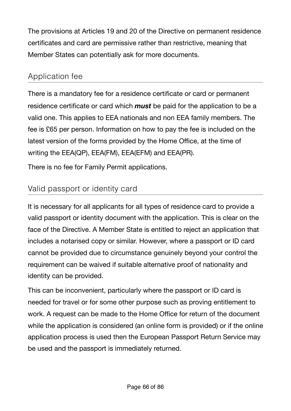The provisions at Articles 19 and 20 of the Directive on permanent residence certificates and card are permissive rather than restrictive, meaning that Member States can potentially ask for more documents.

## Application fee

There is a mandatory fee for a residence certificate or card or permanent residence certificate or card which *must* be paid for the application to be a valid one. This applies to EEA nationals and non EEA family members. The fee is £65 per person. Information on how to pay the fee is included on the latest version of the forms provided by the Home Office, at the time of writing the EEA(QP), EEA(FM), EEA(EFM) and EEA(PR).

There is no fee for Family Permit applications.

## Valid passport or identity card

It is necessary for all applicants for all types of residence card to provide a valid passport or identity document with the application. This is clear on the face of the Directive. A Member State is entitled to reject an application that includes a notarised copy or similar. However, where a passport or ID card cannot be provided due to circumstance genuinely beyond your control the requirement can be waived if suitable alternative proof of nationality and identity can be provided.

This can be inconvenient, particularly where the passport or ID card is needed for travel or for some other purpose such as proving entitlement to work. A request can be made to the Home Office for return of the document while the application is considered (an online form is provided) or if the online application process is used then the European Passport Return Service may be used and the passport is immediately returned.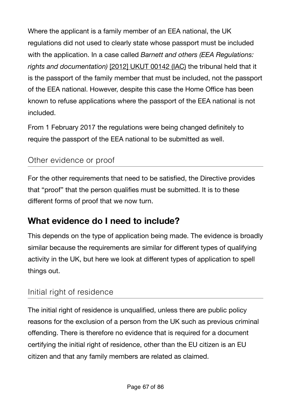Where the applicant is a family member of an EEA national, the UK regulations did not used to clearly state whose passport must be included with the application. In a case called *Barnett and others (EEA Regulations: rights and documentation)* [\[2012\] UKUT 00142 \(IAC\)](http://www.bailii.org/uk/cases/UKUT/IAC/2012/00142_ukut_iac_2012_bb_ors_jamaica.html) the tribunal held that it is the passport of the family member that must be included, not the passport of the EEA national. However, despite this case the Home Office has been known to refuse applications where the passport of the EEA national is not included.

From 1 February 2017 the regulations were being changed definitely to require the passport of the EEA national to be submitted as well.

## Other evidence or proof

For the other requirements that need to be satisfied, the Directive provides that "proof" that the person qualifies must be submitted. It is to these different forms of proof that we now turn.

# **What evidence do I need to include?**

This depends on the type of application being made. The evidence is broadly similar because the requirements are similar for different types of qualifying activity in the UK, but here we look at different types of application to spell things out.

### Initial right of residence

The initial right of residence is unqualified, unless there are public policy reasons for the exclusion of a person from the UK such as previous criminal offending. There is therefore no evidence that is required for a document certifying the initial right of residence, other than the EU citizen is an EU citizen and that any family members are related as claimed.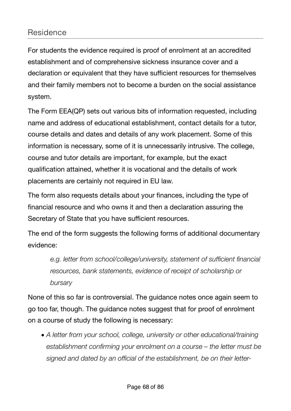## Residence

For students the evidence required is proof of enrolment at an accredited establishment and of comprehensive sickness insurance cover and a declaration or equivalent that they have sufficient resources for themselves and their family members not to become a burden on the social assistance system.

The Form EEA(QP) sets out various bits of information requested, including name and address of educational establishment, contact details for a tutor, course details and dates and details of any work placement. Some of this information is necessary, some of it is unnecessarily intrusive. The college, course and tutor details are important, for example, but the exact qualification attained, whether it is vocational and the details of work placements are certainly not required in EU law.

The form also requests details about your finances, including the type of financial resource and who owns it and then a declaration assuring the Secretary of State that you have sufficient resources.

The end of the form suggests the following forms of additional documentary evidence:

*e.g. letter from school/college/university, statement of sufficient financial resources, bank statements, evidence of receipt of scholarship or bursary*

None of this so far is controversial. The guidance notes once again seem to go too far, though. The guidance notes suggest that for proof of enrolment on a course of study the following is necessary:

*• A letter from your school, college, university or other educational/training establishment confirming your enrolment on a course – the letter must be signed and dated by an official of the establishment, be on their letter-*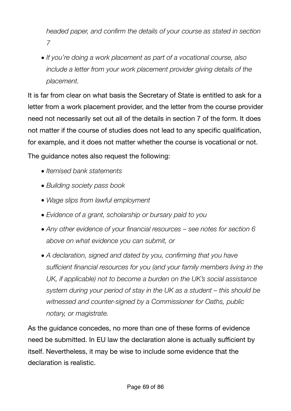*headed paper, and confirm the details of your course as stated in section 7*

*• If you're doing a work placement as part of a vocational course, also include a letter from your work placement provider giving details of the placement.*

It is far from clear on what basis the Secretary of State is entitled to ask for a letter from a work placement provider, and the letter from the course provider need not necessarily set out all of the details in section 7 of the form. It does not matter if the course of studies does not lead to any specific qualification, for example, and it does not matter whether the course is vocational or not.

The guidance notes also request the following:

- *• Itemised bank statements*
- *• Building society pass book*
- *• Wage slips from lawful employment*
- *• Evidence of a grant, scholarship or bursary paid to you*
- *• Any other evidence of your financial resources see notes for section 6 above on what evidence you can submit, or*
- *• A declaration, signed and dated by you, confirming that you have sufficient financial resources for you (and your family members living in the UK, if applicable) not to become a burden on the UK's social assistance system during your period of stay in the UK as a student – this should be witnessed and counter-signed by a Commissioner for Oaths, public notary, or magistrate.*

As the guidance concedes, no more than one of these forms of evidence need be submitted. In EU law the declaration alone is actually sufficient by itself. Nevertheless, it may be wise to include some evidence that the declaration is realistic.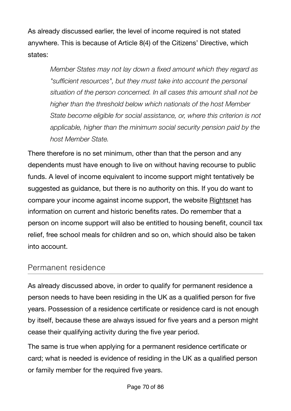As already discussed earlier, the level of income required is not stated anywhere. This is because of Article 8(4) of the Citizens' Directive, which states:

*Member States may not lay down a fixed amount which they regard as "sufficient resources", but they must take into account the personal situation of the person concerned. In all cases this amount shall not be higher than the threshold below which nationals of the host Member State become eligible for social assistance, or, where this criterion is not applicable, higher than the minimum social security pension paid by the host Member State.*

There therefore is no set minimum, other than that the person and any dependents must have enough to live on without having recourse to public funds. A level of income equivalent to income support might tentatively be suggested as guidance, but there is no authority on this. If you do want to compare your income against income support, the website [Rightsnet](http://www.rightsnet.org.uk/resources/benefit-tax-credit-rates) has information on current and historic benefits rates. Do remember that a person on income support will also be entitled to housing benefit, council tax relief, free school meals for children and so on, which should also be taken into account.

### Permanent residence

As already discussed above, in order to qualify for permanent residence a person needs to have been residing in the UK as a qualified person for five years. Possession of a residence certificate or residence card is not enough by itself, because these are always issued for five years and a person might cease their qualifying activity during the five year period.

The same is true when applying for a permanent residence certificate or card; what is needed is evidence of residing in the UK as a qualified person or family member for the required five years.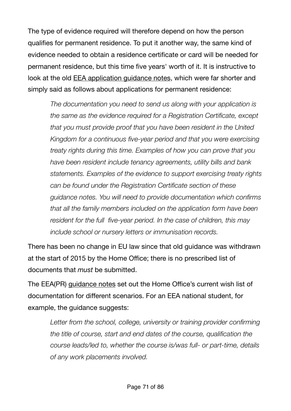The type of evidence required will therefore depend on how the person qualifies for permanent residence. To put it another way, the same kind of evidence needed to obtain a residence certificate or card will be needed for permanent residence, but this time five years' worth of it. It is instructive to look at the old [EEA application guidance notes,](http://webarchive.nationalarchives.gov.uk/20141203164455/https://www.gov.uk/government/publications/guidance-on-applications-for-residence-documents-for-eea-nationals) which were far shorter and simply said as follows about applications for permanent residence:

*The documentation you need to send us along with your application is the same as the evidence required for a Registration Certificate, except that you must provide proof that you have been resident in the United Kingdom for a continuous five-year period and that you were exercising treaty rights during this time. Examples of how you can prove that you have been resident include tenancy agreements, utility bills and bank statements. Examples of the evidence to support exercising treaty rights can be found under the Registration Certificate section of these guidance notes. You will need to provide documentation which confirms that all the family members included on the application form have been resident for the full five-year period. In the case of children, this may include school or nursery letters or immunisation records.*

There has been no change in EU law since that old guidance was withdrawn at the start of 2015 by the Home Office; there is no prescribed list of documents that *must* be submitted.

The EEA(PR) [guidance notes](https://www.gov.uk/government/publications/apply-for-a-document-certifying-permanent-residence-or-permanent-residence-card-form-eea-pr) set out the Home Office's current wish list of documentation for different scenarios. For an EEA national student, for example, the guidance suggests:

Letter from the school, college, university or training provider confirming *the title of course, start and end dates of the course, qualification the course leads/led to, whether the course is/was full- or part-time, details of any work placements involved.*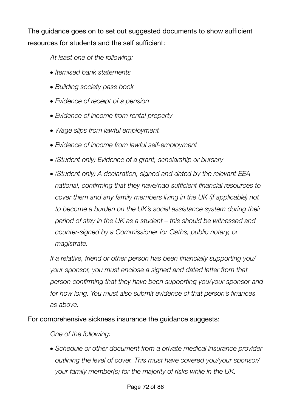The guidance goes on to set out suggested documents to show sufficient resources for students and the self sufficient:

*At least one of the following:* 

- *• Itemised bank statements*
- *• Building society pass book*
- *• Evidence of receipt of a pension*
- *• Evidence of income from rental property*
- *• Wage slips from lawful employment*
- *• Evidence of income from lawful self-employment*
- *• (Student only) Evidence of a grant, scholarship or bursary*
- *• (Student only) A declaration, signed and dated by the relevant EEA national, confirming that they have/had sufficient financial resources to cover them and any family members living in the UK (if applicable) not to become a burden on the UK's social assistance system during their period of stay in the UK as a student – this should be witnessed and counter-signed by a Commissioner for Oaths, public notary, or magistrate.*

*If a relative, friend or other person has been financially supporting you/ your sponsor, you must enclose a signed and dated letter from that person confirming that they have been supporting you/your sponsor and for how long. You must also submit evidence of that person's finances as above.*

#### For comprehensive sickness insurance the guidance suggests:

*One of the following:* 

*• Schedule or other document from a private medical insurance provider outlining the level of cover. This must have covered you/your sponsor/ your family member(s) for the majority of risks while in the UK.*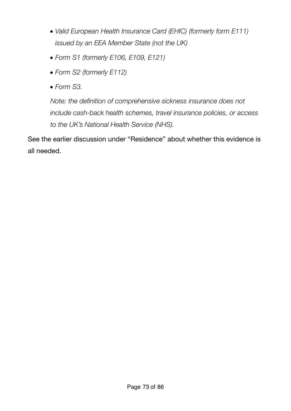- *• Valid European Health Insurance Card (EHIC) (formerly form E111) issued by an EEA Member State (not the UK)*
- *• Form S1 (formerly E106, E109, E121)*
- *• Form S2 (formerly E112)*
- *• Form S3.*

*Note: the definition of comprehensive sickness insurance does not include cash-back health schemes, travel insurance policies, or access to the UK's National Health Service (NHS).*

See the earlier discussion under "Residence" about whether this evidence is all needed.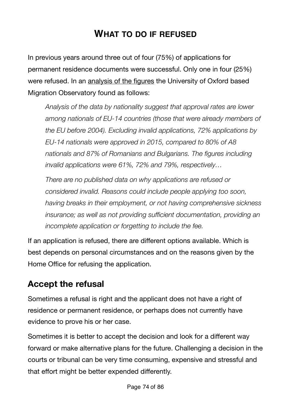## **WHAT TO DO IF REFUSED**

In previous years around three out of four (75%) of applications for permanent residence documents were successful. Only one in four (25%) were refused. In an [analysis of the figures](http://www.migrationobservatory.ox.ac.uk/resources/commentaries/today-gone-tomorrow-status-eu-citizens-already-living-uk/) the University of Oxford based Migration Observatory found as follows:

*Analysis of the data by nationality suggest that approval rates are lower among nationals of EU-14 countries (those that were already members of the EU before 2004). Excluding invalid applications, 72% applications by EU-14 nationals were approved in 2015, compared to 80% of A8 nationals and 87% of Romanians and Bulgarians. The figures including invalid applications were 61%, 72% and 79%, respectively…* 

*There are no published data on why applications are refused or considered invalid. Reasons could include people applying too soon, having breaks in their employment, or not having comprehensive sickness insurance; as well as not providing sufficient documentation, providing an incomplete application or forgetting to include the fee.*

If an application is refused, there are different options available. Which is best depends on personal circumstances and on the reasons given by the Home Office for refusing the application.

## **Accept the refusal**

Sometimes a refusal is right and the applicant does not have a right of residence or permanent residence, or perhaps does not currently have evidence to prove his or her case.

Sometimes it is better to accept the decision and look for a different way forward or make alternative plans for the future. Challenging a decision in the courts or tribunal can be very time consuming, expensive and stressful and that effort might be better expended differently.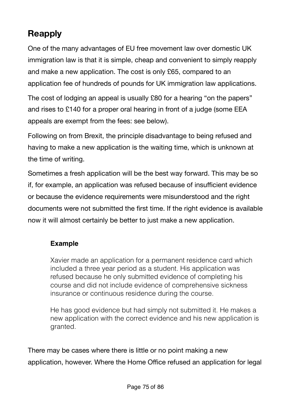# **Reapply**

One of the many advantages of EU free movement law over domestic UK immigration law is that it is simple, cheap and convenient to simply reapply and make a new application. The cost is only £65, compared to an application fee of hundreds of pounds for UK immigration law applications.

The cost of lodging an appeal is usually £80 for a hearing "on the papers" and rises to £140 for a proper oral hearing in front of a judge (some EEA appeals are exempt from the fees: see below).

Following on from Brexit, the principle disadvantage to being refused and having to make a new application is the waiting time, which is unknown at the time of writing.

Sometimes a fresh application will be the best way forward. This may be so if, for example, an application was refused because of insufficient evidence or because the evidence requirements were misunderstood and the right documents were not submitted the first time. If the right evidence is available now it will almost certainly be better to just make a new application.

#### **Example**

Xavier made an application for a permanent residence card which included a three year period as a student. His application was refused because he only submitted evidence of completing his course and did not include evidence of comprehensive sickness insurance or continuous residence during the course.

He has good evidence but had simply not submitted it. He makes a new application with the correct evidence and his new application is granted.

There may be cases where there is little or no point making a new application, however. Where the Home Office refused an application for legal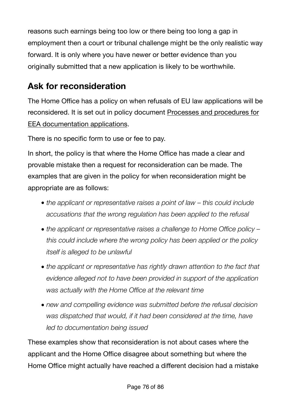reasons such earnings being too low or there being too long a gap in employment then a court or tribunal challenge might be the only realistic way forward. It is only where you have newer or better evidence than you originally submitted that a new application is likely to be worthwhile.

## **Ask for reconsideration**

The Home Office has a policy on when refusals of EU law applications will be reconsidered. It is set out in policy document [Processes and procedures for](http://www.apple.com)  [EEA documentation applications.](http://www.apple.com)

There is no specific form to use or fee to pay.

In short, the policy is that where the Home Office has made a clear and provable mistake then a request for reconsideration can be made. The examples that are given in the policy for when reconsideration might be appropriate are as follows:

- *• the applicant or representative raises a point of law this could include accusations that the wrong regulation has been applied to the refusal*
- *• the applicant or representative raises a challenge to Home Office policy this could include where the wrong policy has been applied or the policy itself is alleged to be unlawful*
- *• the applicant or representative has rightly drawn attention to the fact that evidence alleged not to have been provided in support of the application was actually with the Home Office at the relevant time*
- *• new and compelling evidence was submitted before the refusal decision was dispatched that would, if it had been considered at the time, have led to documentation being issued*

These examples show that reconsideration is not about cases where the applicant and the Home Office disagree about something but where the Home Office might actually have reached a different decision had a mistake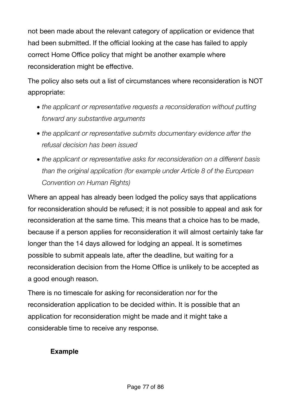not been made about the relevant category of application or evidence that had been submitted. If the official looking at the case has failed to apply correct Home Office policy that might be another example where reconsideration might be effective.

The policy also sets out a list of circumstances where reconsideration is NOT appropriate:

- *the applicant or representative requests a reconsideration without putting forward any substantive arguments*
- *• the applicant or representative submits documentary evidence after the refusal decision has been issued*
- *• the applicant or representative asks for reconsideration on a different basis than the original application (for example under Article 8 of the European Convention on Human Rights)*

Where an appeal has already been lodged the policy says that applications for reconsideration should be refused; it is not possible to appeal and ask for reconsideration at the same time. This means that a choice has to be made, because if a person applies for reconsideration it will almost certainly take far longer than the 14 days allowed for lodging an appeal. It is sometimes possible to submit appeals late, after the deadline, but waiting for a reconsideration decision from the Home Office is unlikely to be accepted as a good enough reason.

There is no timescale for asking for reconsideration nor for the reconsideration application to be decided within. It is possible that an application for reconsideration might be made and it might take a considerable time to receive any response.

#### **Example**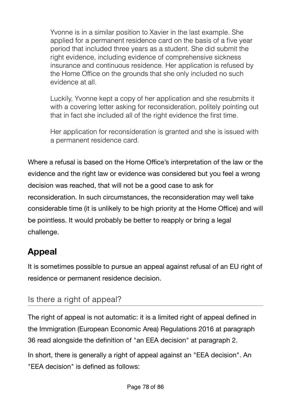Yvonne is in a similar position to Xavier in the last example. She applied for a permanent residence card on the basis of a five year period that included three years as a student. She did submit the right evidence, including evidence of comprehensive sickness insurance and continuous residence. Her application is refused by the Home Office on the grounds that she only included no such evidence at all.

Luckily, Yvonne kept a copy of her application and she resubmits it with a covering letter asking for reconsideration, politely pointing out that in fact she included all of the right evidence the first time.

Her application for reconsideration is granted and she is issued with a permanent residence card.

Where a refusal is based on the Home Office's interpretation of the law or the evidence and the right law or evidence was considered but you feel a wrong decision was reached, that will not be a good case to ask for reconsideration. In such circumstances, the reconsideration may well take considerable time (it is unlikely to be high priority at the Home Office) and will be pointless. It would probably be better to reapply or bring a legal challenge.

# **Appeal**

It is sometimes possible to pursue an appeal against refusal of an EU right of residence or permanent residence decision.

#### Is there a right of appeal?

The right of appeal is not automatic: it is a limited right of appeal defined in the Immigration (European Economic Area) Regulations 2016 at paragraph 36 read alongside the definition of "an EEA decision" at paragraph 2.

In short, there is generally a right of appeal against an "EEA decision". An "EEA decision" is defined as follows: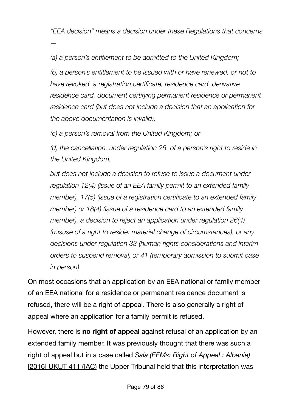*"EEA decision" means a decision under these Regulations that concerns*

*(a) a person's entitlement to be admitted to the United Kingdom;* 

*(b) a person's entitlement to be issued with or have renewed, or not to have revoked, a registration certificate, residence card, derivative residence card, document certifying permanent residence or permanent residence card (but does not include a decision that an application for the above documentation is invalid);* 

*(c) a person's removal from the United Kingdom; or* 

*—* 

*(d) the cancellation, under regulation 25, of a person's right to reside in the United Kingdom,* 

*but does not include a decision to refuse to issue a document under regulation 12(4) (issue of an EEA family permit to an extended family member), 17(5) (issue of a registration certificate to an extended family member) or 18(4) (issue of a residence card to an extended family member), a decision to reject an application under regulation 26(4) (misuse of a right to reside: material change of circumstances), or any decisions under regulation 33 (human rights considerations and interim orders to suspend removal) or 41 (temporary admission to submit case in person)*

On most occasions that an application by an EEA national or family member of an EEA national for a residence or permanent residence document is refused, there will be a right of appeal. There is also generally a right of appeal where an application for a family permit is refused.

However, there is **no right of appeal** against refusal of an application by an extended family member. It was previously thought that there was such a right of appeal but in a case called *Sala (EFMs: Right of Appeal : Albania)* [\[2016\] UKUT 411 \(IAC\)](http://www.bailii.org/uk/cases/UKUT/IAC/2016/411.html) the Upper Tribunal held that this interpretation was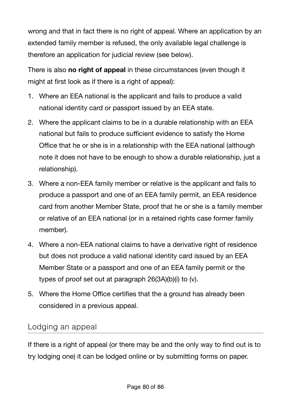wrong and that in fact there is no right of appeal. Where an application by an extended family member is refused, the only available legal challenge is therefore an application for judicial review (see below).

There is also **no right of appeal** in these circumstances (even though it might at first look as if there is a right of appeal):

- 1. Where an EEA national is the applicant and fails to produce a valid national identity card or passport issued by an EEA state.
- 2. Where the applicant claims to be in a durable relationship with an EEA national but fails to produce sufficient evidence to satisfy the Home Office that he or she is in a relationship with the EEA national (although note it does not have to be enough to show a durable relationship, just a relationship).
- 3. Where a non-EEA family member or relative is the applicant and fails to produce a passport and one of an EEA family permit, an EEA residence card from another Member State, proof that he or she is a family member or relative of an EEA national (or in a retained rights case former family member).
- 4. Where a non-EEA national claims to have a derivative right of residence but does not produce a valid national identity card issued by an EEA Member State or a passport and one of an EEA family permit or the types of proof set out at paragraph 26(3A)(b)(i) to (v).
- 5. Where the Home Office certifies that the a ground has already been considered in a previous appeal.

#### Lodging an appeal

If there is a right of appeal (or there may be and the only way to find out is to try lodging one) it can be lodged online or by submitting forms on paper.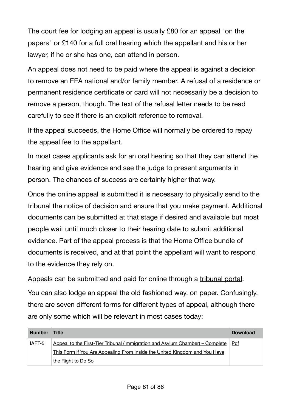The court fee for lodging an appeal is usually £80 for an appeal "on the papers" or £140 for a full oral hearing which the appellant and his or her lawyer, if he or she has one, can attend in person.

An appeal does not need to be paid where the appeal is against a decision to remove an EEA national and/or family member. A refusal of a residence or permanent residence certificate or card will not necessarily be a decision to remove a person, though. The text of the refusal letter needs to be read carefully to see if there is an explicit reference to removal.

If the appeal succeeds, the Home Office will normally be ordered to repay the appeal fee to the appellant.

In most cases applicants ask for an oral hearing so that they can attend the hearing and give evidence and see the judge to present arguments in person. The chances of success are certainly higher that way.

Once the online appeal is submitted it is necessary to physically send to the tribunal the notice of decision and ensure that you make payment. Additional documents can be submitted at that stage if desired and available but most people wait until much closer to their hearing date to submit additional evidence. Part of the appeal process is that the Home Office bundle of documents is received, and at that point the appellant will want to respond to the evidence they rely on.

Appeals can be submitted and paid for online through a [tribunal portal](https://immigrationappealsonline.justice.gov.uk/IACFees/).

You can also lodge an appeal the old fashioned way, on paper. Confusingly, there are seven different forms for different types of appeal, although there are only some which will be relevant in most cases today:

| <b>Number</b> | <b>Title</b>                                                                  | <b>Download</b> |
|---------------|-------------------------------------------------------------------------------|-----------------|
| IAFT-5        | Appeal to the First-Tier Tribunal (Immigration and Asylum Chamber) - Complete | Pdf             |
|               | This Form if You Are Appealing From Inside the United Kingdom and You Have    |                 |
|               | the Right to Do So                                                            |                 |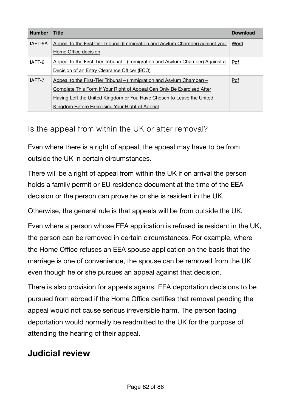| <b>Number</b> | <b>Title</b>                                                                    | <b>Download</b> |
|---------------|---------------------------------------------------------------------------------|-----------------|
| IAFT-5A       | Appeal to the First-tier Tribunal (Immigration and Asylum Chamber) against your | Word            |
|               | Home Office decision                                                            |                 |
| IAFT-6        | Appeal to the First-Tier Tribunal – (Immigration and Asylum Chamber) Against a  | Pdf             |
|               | Decision of an Entry Clearance Officer (ECO)                                    |                 |
| IAFT-7        | Appeal to the First-Tier Tribunal – (Immigration and Asylum Chamber) –          | Pdf             |
|               | Complete This Form if Your Right of Appeal Can Only Be Exercised After          |                 |
|               | Having Left the United Kingdom or You Have Chosen to Leave the United           |                 |
|               | Kingdom Before Exercising Your Right of Appeal                                  |                 |

#### Is the appeal from within the UK or after removal?

Even where there is a right of appeal, the appeal may have to be from outside the UK in certain circumstances.

There will be a right of appeal from within the UK if on arrival the person holds a family permit or EU residence document at the time of the EEA decision or the person can prove he or she is resident in the UK.

Otherwise, the general rule is that appeals will be from outside the UK.

Even where a person whose EEA application is refused **is** resident in the UK, the person can be removed in certain circumstances. For example, where the Home Office refuses an EEA spouse application on the basis that the marriage is one of convenience, the spouse can be removed from the UK even though he or she pursues an appeal against that decision.

There is also provision for appeals against EEA deportation decisions to be pursued from abroad if the Home Office certifies that removal pending the appeal would not cause serious irreversible harm. The person facing deportation would normally be readmitted to the UK for the purpose of attending the hearing of their appeal.

### **Judicial review**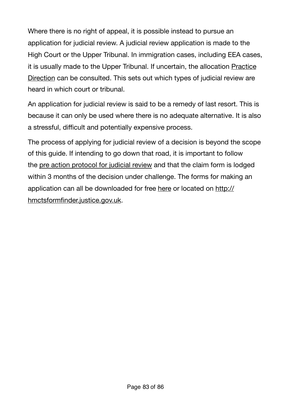Where there is no right of appeal, it is possible instead to pursue an application for judicial review. A judicial review application is made to the High Court or the Upper Tribunal. In immigration cases, including EEA cases, it is usually made to the Upper Tribunal. If uncertain, the allocation [Practice](http://www.judiciary.gov.uk/Resources/JCO/Documents/Practice%20Directions/Tribunals/lcj-direction-jr-iac-21-08-2013.pdf)  [Direction](http://www.judiciary.gov.uk/Resources/JCO/Documents/Practice%20Directions/Tribunals/lcj-direction-jr-iac-21-08-2013.pdf) can be consulted. This sets out which types of judicial review are heard in which court or tribunal.

An application for judicial review is said to be a remedy of last resort. This is because it can only be used where there is no adequate alternative. It is also a stressful, difficult and potentially expensive process.

The process of applying for judicial review of a decision is beyond the scope of this guide. If intending to go down that road, it is important to follow the [pre action protocol for judicial review](http://www.justice.gov.uk/courts/procedure-rules/civil/protocol/prot_jrv) and that the claim form is lodged within 3 months of the decision under challenge. The forms for making an application can all be downloaded for free [here](http://hmctsformfinder.justice.gov.uk/HMCTS/GetLeaflet.do?court_leaflets_id=2841) or located on [http://](http://hmctsformfinder.justice.gov.uk) [hmctsformfinder.justice.gov.uk.](http://hmctsformfinder.justice.gov.uk)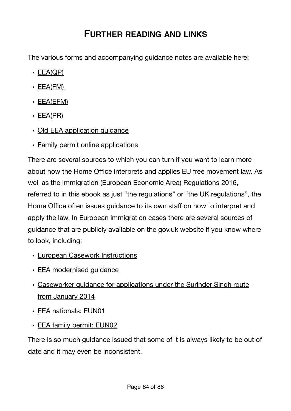### **FURTHER READING AND LINKS**

The various forms and accompanying guidance notes are available here:

- [EEA\(QP\)](https://www.gov.uk/government/publications/apply-for-a-registration-certificate-as-a-qualified-person-form-eea-qp)
- $\cdot$  [EEA\(FM\)](https://www.gov.uk/government/publications/apply-for-a-registration-certificate-or-residence-card-for-a-family-member-form-eea-fm)
- $\cdot$  [EEA\(EFM\)](https://www.gov.uk/government/publications/apply-for-a-registration-certificate-or-residence-card-for-an-extended-family-member-form-eea-efm)
- [EEA\(PR\)](https://www.gov.uk/government/publications/apply-for-a-document-certifying-permanent-residence-or-permanent-residence-card-form-eea-pr)
- Old EEA application quidance
- [Family permit online applications](https://www.gov.uk/family-permit/overview)

There are several sources to which you can turn if you want to learn more about how the Home Office interprets and applies EU free movement law. As well as the Immigration (European Economic Area) Regulations 2016, referred to in this ebook as just "the regulations" or "the UK regulations", the Home Office often issues guidance to its own staff on how to interpret and apply the law. In European immigration cases there are several sources of guidance that are publicly available on the gov.uk website if you know where to look, including:

- [European Casework Instructions](https://www.gov.uk/government/publications/european-casework-instructions)
- [EEA modernised guidance](https://www.gov.uk/government/collections/eea-swiss-nationals-and-ec-association-agreements-modernised-guidance)
- [Caseworker guidance for applications under the Surinder Singh route](https://www.gov.uk/government/publications/caseworker-guidance-for-applications-under-the-surinder-singh-route-from-january-2014)  [from January 2014](https://www.gov.uk/government/publications/caseworker-guidance-for-applications-under-the-surinder-singh-route-from-january-2014)
- [EEA nationals: EUN01](https://www.gov.uk/government/publications/eea-nationals-eun01/eea-nationals-eun01)
- [EEA family permit: EUN02](https://www.gov.uk/government/publications/eea-family-permits-eun02/eea-family-permit-eun02#eun214-can-family-members-of-british-citizens-qualify-for-an-eea-family-permit-surinder-singh-cases)

There is so much guidance issued that some of it is always likely to be out of date and it may even be inconsistent.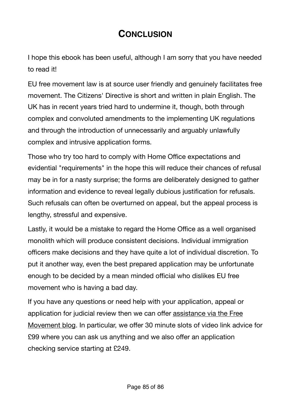# **CONCLUSION**

I hope this ebook has been useful, although I am sorry that you have needed to read it!

EU free movement law is at source user friendly and genuinely facilitates free movement. The Citizens' Directive is short and written in plain English. The UK has in recent years tried hard to undermine it, though, both through complex and convoluted amendments to the implementing UK regulations and through the introduction of unnecessarily and arguably unlawfully complex and intrusive application forms.

Those who try too hard to comply with Home Office expectations and evidential "requirements" in the hope this will reduce their chances of refusal may be in for a nasty surprise; the forms are deliberately designed to gather information and evidence to reveal legally dubious justification for refusals. Such refusals can often be overturned on appeal, but the appeal process is lengthy, stressful and expensive.

Lastly, it would be a mistake to regard the Home Office as a well organised monolith which will produce consistent decisions. Individual immigration officers make decisions and they have quite a lot of individual discretion. To put it another way, even the best prepared application may be unfortunate enough to be decided by a mean minded official who dislikes EU free movement who is having a bad day.

If you have any questions or need help with your application, appeal or application for judicial review then we can offer [assistance via the Free](https://www.freemovement.org.uk/legal-advice/)  [Movement blog](https://www.freemovement.org.uk/legal-advice/). In particular, we offer 30 minute slots of video link advice for £99 where you can ask us anything and we also offer an application checking service starting at £249.